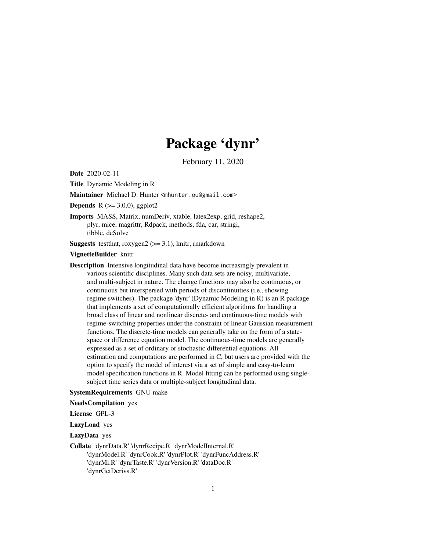# Package 'dynr'

February 11, 2020

<span id="page-0-0"></span>Date 2020-02-11

Title Dynamic Modeling in R

Maintainer Michael D. Hunter <mhunter.ou@gmail.com>

**Depends** R  $(>= 3.0.0)$ , ggplot2

Imports MASS, Matrix, numDeriv, xtable, latex2exp, grid, reshape2, plyr, mice, magrittr, Rdpack, methods, fda, car, stringi, tibble, deSolve

**Suggests** test that, roxygen  $2 \left(>= 3.1\right)$ , knitr, rmarkdown

VignetteBuilder knitr

Description Intensive longitudinal data have become increasingly prevalent in various scientific disciplines. Many such data sets are noisy, multivariate, and multi-subject in nature. The change functions may also be continuous, or continuous but interspersed with periods of discontinuities (i.e., showing regime switches). The package 'dynr' (Dynamic Modeling in R) is an R package that implements a set of computationally efficient algorithms for handling a broad class of linear and nonlinear discrete- and continuous-time models with regime-switching properties under the constraint of linear Gaussian measurement functions. The discrete-time models can generally take on the form of a statespace or difference equation model. The continuous-time models are generally expressed as a set of ordinary or stochastic differential equations. All estimation and computations are performed in C, but users are provided with the option to specify the model of interest via a set of simple and easy-to-learn model specification functions in R. Model fitting can be performed using singlesubject time series data or multiple-subject longitudinal data.

SystemRequirements GNU make

NeedsCompilation yes

License GPL-3

LazyLoad yes

LazyData yes

Collate 'dynrData.R' 'dynrRecipe.R' 'dynrModelInternal.R' 'dynrModel.R' 'dynrCook.R' 'dynrPlot.R' 'dynrFuncAddress.R' 'dynrMi.R' 'dynrTaste.R' 'dynrVersion.R' 'dataDoc.R' 'dynrGetDerivs.R'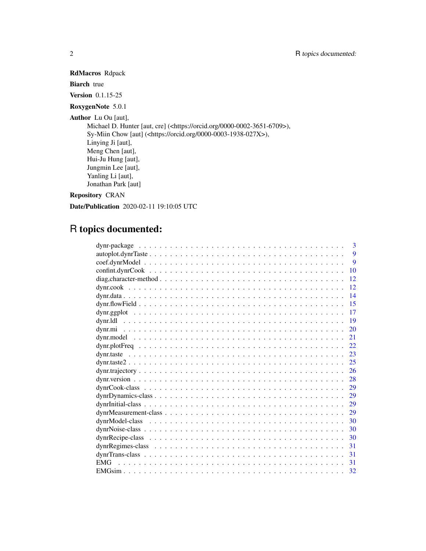# RdMacros Rdpack

Biarch true

Version 0.1.15-25

RoxygenNote 5.0.1

Author Lu Ou [aut],

Michael D. Hunter [aut, cre] (<https://orcid.org/0000-0002-3651-6709>), Sy-Miin Chow [aut] (<https://orcid.org/0000-0003-1938-027X>), Linying Ji [aut], Meng Chen [aut], Hui-Ju Hung [aut], Jungmin Lee [aut], Yanling Li [aut], Jonathan Park [aut]

Repository CRAN

Date/Publication 2020-02-11 19:10:05 UTC

# R topics documented:

|     | 3  |
|-----|----|
|     | 9  |
|     | 9  |
|     | 10 |
|     | 12 |
|     | 12 |
|     | 14 |
|     | 15 |
|     | 17 |
|     | 19 |
|     | 20 |
|     | 21 |
|     | 22 |
|     | 23 |
|     | 25 |
|     | 26 |
|     | 28 |
|     | 29 |
|     | 29 |
|     | 29 |
|     | 29 |
|     | 30 |
|     | 30 |
|     | 30 |
|     | 31 |
|     | 31 |
| EMG | 31 |
|     | 32 |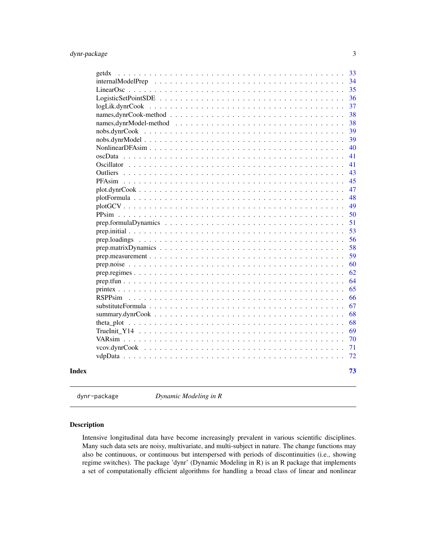<span id="page-2-0"></span>

| getdx                                                                                                   |  |  |  |  |  |  |  |  |  |  |  |        |  |
|---------------------------------------------------------------------------------------------------------|--|--|--|--|--|--|--|--|--|--|--|--------|--|
|                                                                                                         |  |  |  |  |  |  |  |  |  |  |  |        |  |
|                                                                                                         |  |  |  |  |  |  |  |  |  |  |  |        |  |
|                                                                                                         |  |  |  |  |  |  |  |  |  |  |  |        |  |
|                                                                                                         |  |  |  |  |  |  |  |  |  |  |  |        |  |
|                                                                                                         |  |  |  |  |  |  |  |  |  |  |  |        |  |
|                                                                                                         |  |  |  |  |  |  |  |  |  |  |  |        |  |
|                                                                                                         |  |  |  |  |  |  |  |  |  |  |  |        |  |
|                                                                                                         |  |  |  |  |  |  |  |  |  |  |  |        |  |
|                                                                                                         |  |  |  |  |  |  |  |  |  |  |  |        |  |
|                                                                                                         |  |  |  |  |  |  |  |  |  |  |  |        |  |
|                                                                                                         |  |  |  |  |  |  |  |  |  |  |  |        |  |
|                                                                                                         |  |  |  |  |  |  |  |  |  |  |  |        |  |
|                                                                                                         |  |  |  |  |  |  |  |  |  |  |  |        |  |
|                                                                                                         |  |  |  |  |  |  |  |  |  |  |  |        |  |
|                                                                                                         |  |  |  |  |  |  |  |  |  |  |  |        |  |
|                                                                                                         |  |  |  |  |  |  |  |  |  |  |  |        |  |
|                                                                                                         |  |  |  |  |  |  |  |  |  |  |  |        |  |
|                                                                                                         |  |  |  |  |  |  |  |  |  |  |  |        |  |
|                                                                                                         |  |  |  |  |  |  |  |  |  |  |  |        |  |
|                                                                                                         |  |  |  |  |  |  |  |  |  |  |  |        |  |
|                                                                                                         |  |  |  |  |  |  |  |  |  |  |  |        |  |
|                                                                                                         |  |  |  |  |  |  |  |  |  |  |  |        |  |
|                                                                                                         |  |  |  |  |  |  |  |  |  |  |  |        |  |
|                                                                                                         |  |  |  |  |  |  |  |  |  |  |  |        |  |
|                                                                                                         |  |  |  |  |  |  |  |  |  |  |  |        |  |
|                                                                                                         |  |  |  |  |  |  |  |  |  |  |  |        |  |
| <b>RSPPsim</b>                                                                                          |  |  |  |  |  |  |  |  |  |  |  |        |  |
|                                                                                                         |  |  |  |  |  |  |  |  |  |  |  |        |  |
| $summary.dynr Cook \ldots \ldots \ldots \ldots \ldots \ldots \ldots \ldots \ldots \ldots \ldots \ldots$ |  |  |  |  |  |  |  |  |  |  |  |        |  |
|                                                                                                         |  |  |  |  |  |  |  |  |  |  |  |        |  |
|                                                                                                         |  |  |  |  |  |  |  |  |  |  |  |        |  |
|                                                                                                         |  |  |  |  |  |  |  |  |  |  |  |        |  |
|                                                                                                         |  |  |  |  |  |  |  |  |  |  |  |        |  |
|                                                                                                         |  |  |  |  |  |  |  |  |  |  |  | $\sim$ |  |
|                                                                                                         |  |  |  |  |  |  |  |  |  |  |  |        |  |
|                                                                                                         |  |  |  |  |  |  |  |  |  |  |  |        |  |

dynr-package *Dynamic Modeling in R*

# Description

Intensive longitudinal data have become increasingly prevalent in various scientific disciplines. Many such data sets are noisy, multivariate, and multi-subject in nature. The change functions may also be continuous, or continuous but interspersed with periods of discontinuities (i.e., showing regime switches). The package 'dynr' (Dynamic Modeling in R) is an R package that implements a set of computationally efficient algorithms for handling a broad class of linear and nonlinear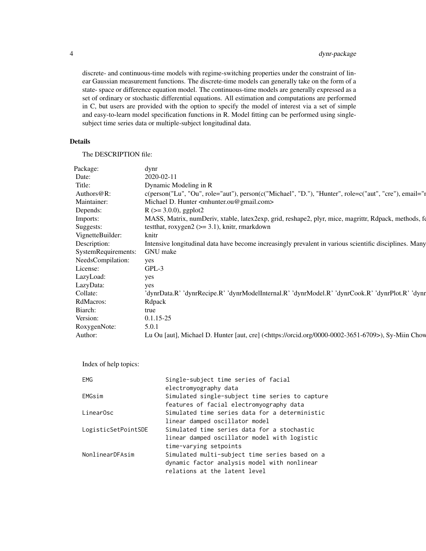# 4 dynr-package

discrete- and continuous-time models with regime-switching properties under the constraint of linear Gaussian measurement functions. The discrete-time models can generally take on the form of a state- space or difference equation model. The continuous-time models are generally expressed as a set of ordinary or stochastic differential equations. All estimation and computations are performed in C, but users are provided with the option to specify the model of interest via a set of simple and easy-to-learn model specification functions in R. Model fitting can be performed using singlesubject time series data or multiple-subject longitudinal data.

# Details

The DESCRIPTION file:

|                    | Dynamic Moc                                                                                                    |
|--------------------|----------------------------------------------------------------------------------------------------------------|
|                    | """" nerson(c("Michael", "D."), "Hunter", role=c("aut", "cre"), email="<br>$c(\text{person("Lu", "Cu , \ldots$ |
|                    | Michael D. Hunter <mhunter.ou@gmail.com></mhunter.ou@gmail.com>                                                |
|                    | $R$ ( $>=$ 3.0.0), ggplot2                                                                                     |
|                    | xtable, latex2exp, grid, reshape2, plyr, mice, magrittr, Rdpack, method                                        |
|                    | test that, roxygen $2$ ( $>=$ 3.1), knitr, rmarkdown                                                           |
| ignetteBuilder:    |                                                                                                                |
|                    | casingly prevalent in various scientific disciplines. Mary                                                     |
| ystemRequirements: |                                                                                                                |
| leedsCompilation:  |                                                                                                                |
|                    |                                                                                                                |
| azvl oad           |                                                                                                                |
|                    |                                                                                                                |
|                    |                                                                                                                |
|                    |                                                                                                                |
|                    |                                                                                                                |
| Version:           | $0.1$ 15-25                                                                                                    |
|                    |                                                                                                                |
|                    | inter [aut, cre] ( <https: 0000-0002-3651-6709="" orcid.org="">), Sy-Miin Chow</https:>                        |
|                    |                                                                                                                |

Index of help topics:

| EMG                 | Single-subject time series of facial            |
|---------------------|-------------------------------------------------|
|                     | electromyography data                           |
| EMGsim              | Simulated single-subject time series to capture |
|                     | features of facial electromyography data        |
| LinearOsc           | Simulated time series data for a deterministic  |
|                     | linear damped oscillator model                  |
| LogisticSetPointSDE | Simulated time series data for a stochastic     |
|                     | linear damped oscillator model with logistic    |
|                     | time-varying setpoints                          |
| NonlinearDFAsim     | Simulated multi-subject time series based on a  |
|                     | dynamic factor analysis model with nonlinear    |
|                     | relations at the latent level                   |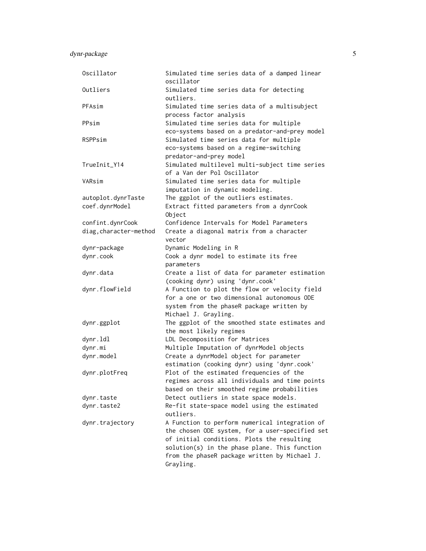dynr-package 5

| Oscillator             | Simulated time series data of a damped linear<br>oscillator                                                                                                                                                                                                    |
|------------------------|----------------------------------------------------------------------------------------------------------------------------------------------------------------------------------------------------------------------------------------------------------------|
| Outliers               | Simulated time series data for detecting<br>outliers.                                                                                                                                                                                                          |
| PFAsim                 | Simulated time series data of a multisubject<br>process factor analysis                                                                                                                                                                                        |
| PPsim                  | Simulated time series data for multiple<br>eco-systems based on a predator-and-prey model                                                                                                                                                                      |
| RSPPsim                | Simulated time series data for multiple<br>eco-systems based on a regime-switching<br>predator-and-prey model                                                                                                                                                  |
| TrueInit_Y14           | Simulated multilevel multi-subject time series<br>of a Van der Pol Oscillator                                                                                                                                                                                  |
| VARsim                 | Simulated time series data for multiple<br>imputation in dynamic modeling.                                                                                                                                                                                     |
| autoplot.dynrTaste     | The ggplot of the outliers estimates.                                                                                                                                                                                                                          |
| coef.dynrModel         | Extract fitted parameters from a dynrCook                                                                                                                                                                                                                      |
|                        | Object                                                                                                                                                                                                                                                         |
| confint.dynrCook       | Confidence Intervals for Model Parameters                                                                                                                                                                                                                      |
| diag, character-method | Create a diagonal matrix from a character<br>vector                                                                                                                                                                                                            |
| dynr-package           | Dynamic Modeling in R                                                                                                                                                                                                                                          |
| dynr.cook              | Cook a dynr model to estimate its free                                                                                                                                                                                                                         |
|                        | parameters                                                                                                                                                                                                                                                     |
| dynr.data              | Create a list of data for parameter estimation<br>(cooking dynr) using 'dynr.cook'                                                                                                                                                                             |
| dynr.flowField         | A Function to plot the flow or velocity field                                                                                                                                                                                                                  |
|                        | for a one or two dimensional autonomous ODE                                                                                                                                                                                                                    |
|                        | system from the phaseR package written by                                                                                                                                                                                                                      |
|                        | Michael J. Grayling.                                                                                                                                                                                                                                           |
|                        |                                                                                                                                                                                                                                                                |
|                        |                                                                                                                                                                                                                                                                |
| dynr.ggplot            | The ggplot of the smoothed state estimates and<br>the most likely regimes                                                                                                                                                                                      |
| dynr.ldl               | LDL Decomposition for Matrices                                                                                                                                                                                                                                 |
| dynr.mi                | Multiple Imputation of dynrModel objects                                                                                                                                                                                                                       |
| dynr.model             | Create a dynrModel object for parameter                                                                                                                                                                                                                        |
|                        | estimation (cooking dynr) using 'dynr.cook'                                                                                                                                                                                                                    |
| dynr.plotFreq          | Plot of the estimated frequencies of the                                                                                                                                                                                                                       |
|                        | regimes across all individuals and time points                                                                                                                                                                                                                 |
|                        | based on their smoothed regime probabilities                                                                                                                                                                                                                   |
| dynr.taste             | Detect outliers in state space models.                                                                                                                                                                                                                         |
| dynr.taste2            | Re-fit state-space model using the estimated                                                                                                                                                                                                                   |
|                        | outliers.                                                                                                                                                                                                                                                      |
| dynr.trajectory        | A Function to perform numerical integration of<br>the chosen ODE system, for a user-specified set<br>of initial conditions. Plots the resulting<br>solution(s) in the phase plane. This function<br>from the phaseR package written by Michael J.<br>Grayling. |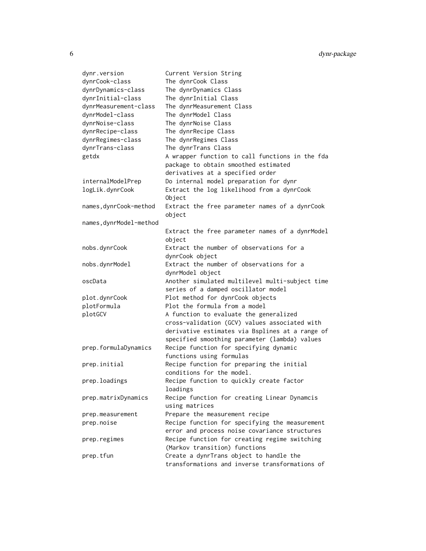| dynr.version            | Current Version String                                   |
|-------------------------|----------------------------------------------------------|
| dynrCook-class          | The dynrCook Class                                       |
| dynrDynamics-class      | The dynrDynamics Class                                   |
| dynrInitial-class       | The dynrInitial Class                                    |
| dynrMeasurement-class   | The dynrMeasurement Class                                |
| dynrModel-class         | The dynrModel Class                                      |
| dynrNoise-class         | The dynrNoise Class                                      |
| dynrRecipe-class        | The dynrRecipe Class                                     |
| dynrRegimes-class       | The dynrRegimes Class                                    |
| dynrTrans-class         | The dynrTrans Class                                      |
| getdx                   | A wrapper function to call functions in the fda          |
|                         | package to obtain smoothed estimated                     |
|                         | derivatives at a specified order                         |
| internalModelPrep       | Do internal model preparation for dynr                   |
| logLik.dynrCook         | Extract the log likelihood from a dynrCook               |
|                         | Object                                                   |
| names, dynrCook-method  | Extract the free parameter names of a dynrCook<br>object |
| names, dynrModel-method |                                                          |
|                         | Extract the free parameter names of a dynrModel          |
|                         | object                                                   |
| nobs.dynrCook           | Extract the number of observations for a                 |
|                         | dynrCook object                                          |
| nobs.dynrModel          | Extract the number of observations for a                 |
|                         | dynrModel object                                         |
| oscData                 | Another simulated multilevel multi-subject time          |
|                         | series of a damped oscillator model                      |
| plot.dynrCook           | Plot method for dynrCook objects                         |
| plotFormula             | Plot the formula from a model                            |
| plotGCV                 | A function to evaluate the generalized                   |
|                         | cross-validation (GCV) values associated with            |
|                         | derivative estimates via Bsplines at a range of          |
|                         | specified smoothing parameter (lambda) values            |
| prep.formulaDynamics    | Recipe function for specifying dynamic                   |
|                         | functions using formulas                                 |
| prep.initial            | Recipe function for preparing the initial                |
|                         | conditions for the model.                                |
| prep.loadings           | Recipe function to quickly create factor                 |
|                         | loadings                                                 |
| prep.matrixDynamics     | Recipe function for creating Linear Dynamcis             |
|                         |                                                          |
|                         | using matrices                                           |
| prep.measurement        | Prepare the measurement recipe                           |
| prep.noise              | Recipe function for specifying the measurement           |
|                         | error and process noise covariance structures            |
| prep.regimes            | Recipe function for creating regime switching            |
|                         | (Markov transition) functions                            |
| prep.tfun               | Create a dynrTrans object to handle the                  |
|                         | transformations and inverse transformations of           |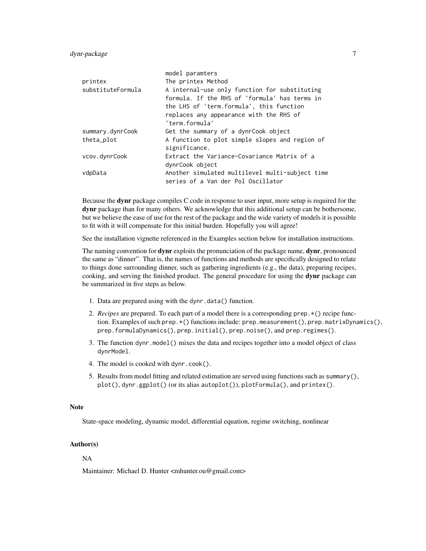# dynr-package 7 and 7 and 7 and 7 and 7 and 7 and 7 and 7 and 7 and 7 and 7 and 7 and 7 and 7 and 7 and 7 and 7 and 7 and 7 and 7 and 7 and 7 and 7 and 7 and 7 and 7 and 7 and 7 and 7 and 7 and 7 and 7 and 7 and 7 and 7 and

|                   | model paramters                                 |
|-------------------|-------------------------------------------------|
| printex           | The printex Method                              |
| substituteFormula | A internal-use only function for substituting   |
|                   | formula. If the RHS of 'formula' has terms in   |
|                   | the LHS of 'term.formula', this function        |
|                   | replaces any appearance with the RHS of         |
|                   | 'term.formula'                                  |
| summary.dynrCook  | Get the summary of a dynrCook object            |
| theta_plot        | A function to plot simple slopes and region of  |
|                   | significance.                                   |
| vcov.dynrCook     | Extract the Variance-Covariance Matrix of a     |
|                   | dynrCook object                                 |
| vdpData           | Another simulated multilevel multi-subject time |
|                   | series of a Van der Pol Oscillator              |

Because the **dynr** package compiles C code in response to user input, more setup is required for the dynr package than for many others. We acknowledge that this additional setup can be bothersome, but we believe the ease of use for the rest of the package and the wide variety of models it is possible to fit with it will compensate for this initial burden. Hopefully you will agree!

See the installation vignette referenced in the Examples section below for installation instructions.

The naming convention for **dynr** exploits the pronunciation of the package name, **dynr**, pronounced the same as "dinner". That is, the names of functions and methods are specifically designed to relate to things done surrounding dinner, such as gathering ingredients (e.g., the data), preparing recipes, cooking, and serving the finished product. The general procedure for using the dynr package can be summarized in five steps as below.

- 1. Data are prepared using with the dynr.data() function.
- 2. *Recipes* are prepared. To each part of a model there is a corresponding prep.\*() recipe function. Examples of such prep.\*() functions include: prep.measurement(), prep.matrixDynamics(), prep.formulaDynamics(), prep.initial(), prep.noise(), and prep.regimes().
- 3. The function dynr.model() mixes the data and recipes together into a model object of class dynrModel.
- 4. The model is cooked with dynr.cook().
- 5. Results from model fitting and related estimation are served using functions such as summary(), plot(), dynr.ggplot() (or its alias autoplot()), plotFormula(), and printex().

#### Note

State-space modeling, dynamic model, differential equation, regime switching, nonlinear

#### Author(s)

# NA

Maintainer: Michael D. Hunter <mhunter.ou@gmail.com>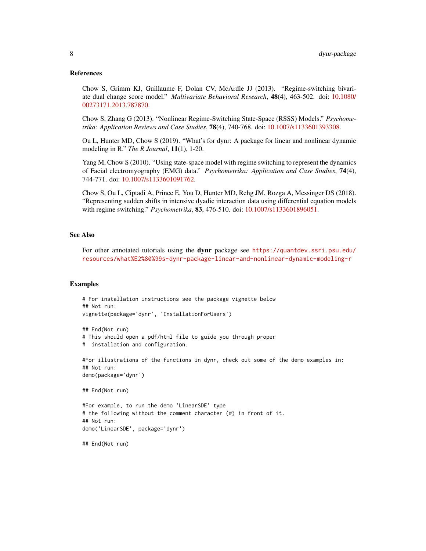#### References

Chow S, Grimm KJ, Guillaume F, Dolan CV, McArdle JJ (2013). "Regime-switching bivariate dual change score model." *Multivariate Behavioral Research*, 48(4), 463-502. doi: [10.1080/](http://doi.org/10.1080/00273171.2013.787870) [00273171.2013.787870.](http://doi.org/10.1080/00273171.2013.787870)

Chow S, Zhang G (2013). "Nonlinear Regime-Switching State-Space (RSSS) Models." *Psychometrika: Application Reviews and Case Studies*, 78(4), 740-768. doi: [10.1007/s1133601393308.](http://doi.org/10.1007/s11336-013-9330-8)

Ou L, Hunter MD, Chow S (2019). "What's for dynr: A package for linear and nonlinear dynamic modeling in R." *The R Journal*, 11(1), 1-20.

Yang M, Chow S (2010). "Using state-space model with regime switching to represent the dynamics of Facial electromyography (EMG) data." *Psychometrika: Application and Case Studies*, 74(4), 744-771. doi: [10.1007/s1133601091762.](http://doi.org/10.1007/s11336-010-9176-2)

Chow S, Ou L, Ciptadi A, Prince E, You D, Hunter MD, Rehg JM, Rozga A, Messinger DS (2018). "Representing sudden shifts in intensive dyadic interaction data using differential equation models with regime switching." *Psychometrika*, 83, 476-510. doi: [10.1007/s1133601896051.](http://doi.org/10.1007/s11336-018-9605-1)

#### See Also

For other annotated tutorials using the dynr package see [https://quantdev.ssri.psu.edu/](https://quantdev.ssri.psu.edu/resources/what%E2%80%99s-dynr-package-linear-and-nonlinear-dynamic-modeling-r) [resources/what%E2%80%99s-dynr-package-linear-and-nonlinear-dynamic-modeling-r](https://quantdev.ssri.psu.edu/resources/what%E2%80%99s-dynr-package-linear-and-nonlinear-dynamic-modeling-r)

#### Examples

```
# For installation instructions see the package vignette below
## Not run:
vignette(package='dynr', 'InstallationForUsers')
## End(Not run)
# This should open a pdf/html file to guide you through proper
# installation and configuration.
#For illustrations of the functions in dynr, check out some of the demo examples in:
## Not run:
demo(package='dynr')
## End(Not run)
#For example, to run the demo 'LinearSDE' type
# the following without the comment character (#) in front of it.
## Not run:
demo('LinearSDE', package='dynr')
## End(Not run)
```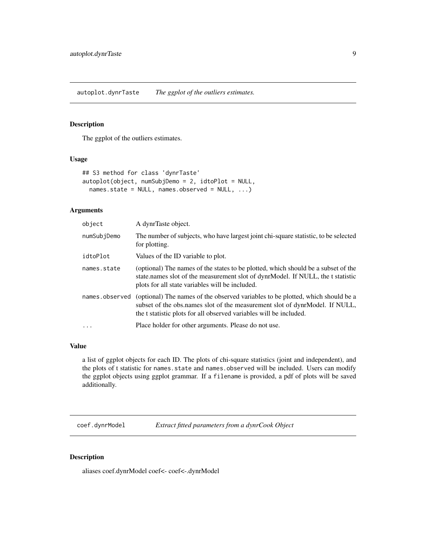<span id="page-8-0"></span>autoplot.dynrTaste *The ggplot of the outliers estimates.*

#### Description

The ggplot of the outliers estimates.

# Usage

```
## S3 method for class 'dynrTaste'
autoplot(object, numSubjDemo = 2, idtoPlot = NULL,
 names.state = NULL, names.observed = NULL, ...)
```
# Arguments

| object         | A dynrTaste object.                                                                                                                                                                                                                  |
|----------------|--------------------------------------------------------------------------------------------------------------------------------------------------------------------------------------------------------------------------------------|
| numSubjDemo    | The number of subjects, who have largest joint chi-square statistic, to be selected<br>for plotting.                                                                                                                                 |
| idtoPlot       | Values of the ID variable to plot.                                                                                                                                                                                                   |
| names.state    | (optional) The names of the states to be plotted, which should be a subset of the<br>state.names slot of the measurement slot of dynrModel. If NULL, the t statistic<br>plots for all state variables will be included.              |
| names.observed | (optional) The names of the observed variables to be plotted, which should be a<br>subset of the obs.names slot of the measurement slot of dynrModel. If NULL,<br>the t statistic plots for all observed variables will be included. |
| $\ddots$ .     | Place holder for other arguments. Please do not use.                                                                                                                                                                                 |

# Value

a list of ggplot objects for each ID. The plots of chi-square statistics (joint and independent), and the plots of t statistic for names.state and names.observed will be included. Users can modify the ggplot objects using ggplot grammar. If a filename is provided, a pdf of plots will be saved additionally.

coef.dynrModel *Extract fitted parameters from a dynrCook Object*

# Description

aliases coef.dynrModel coef<- coef<-.dynrModel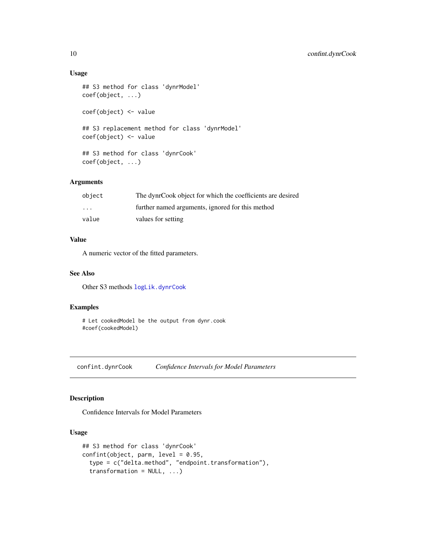# Usage

```
## S3 method for class 'dynrModel'
coef(object, ...)
coef(object) <- value
## S3 replacement method for class 'dynrModel'
coef(object) <- value
## S3 method for class 'dynrCook'
coef(object, ...)
```
# Arguments

| object                  | The dynrCook object for which the coefficients are desired |
|-------------------------|------------------------------------------------------------|
| $\cdot$ $\cdot$ $\cdot$ | further named arguments, ignored for this method           |
| value                   | values for setting                                         |

# Value

A numeric vector of the fitted parameters.

# See Also

Other S3 methods [logLik.dynrCook](#page-36-1)

# Examples

```
# Let cookedModel be the output from dynr.cook
#coef(cookedModel)
```
confint.dynrCook *Confidence Intervals for Model Parameters*

# Description

Confidence Intervals for Model Parameters

# Usage

```
## S3 method for class 'dynrCook'
confint(object, parm, level = 0.95,type = c("delta.method", "endpoint.transformation"),
  transformation = NULL, ...)
```
<span id="page-9-0"></span>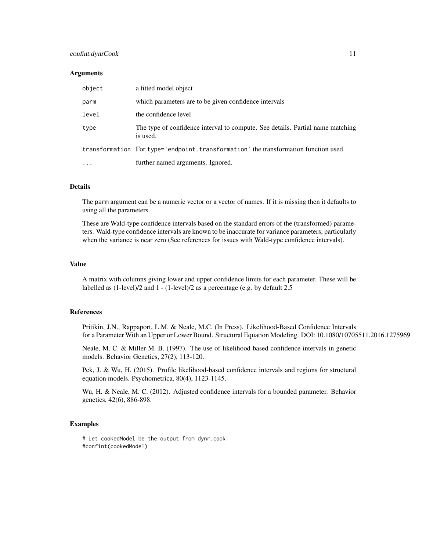# confint.dynrCook 11

#### Arguments

| object   | a fitted model object                                                                      |
|----------|--------------------------------------------------------------------------------------------|
| parm     | which parameters are to be given confidence intervals                                      |
| level    | the confidence level                                                                       |
| type     | The type of confidence interval to compute. See details. Partial name matching<br>is used. |
|          | transformation For type='endpoint.transformation' the transformation function used.        |
| $\cdots$ | further named arguments. Ignored.                                                          |

#### Details

The parm argument can be a numeric vector or a vector of names. If it is missing then it defaults to using all the parameters.

These are Wald-type confidence intervals based on the standard errors of the (transformed) parameters. Wald-type confidence intervals are known to be inaccurate for variance parameters, particularly when the variance is near zero (See references for issues with Wald-type confidence intervals).

#### Value

A matrix with columns giving lower and upper confidence limits for each parameter. These will be labelled as (1-level)/2 and 1 - (1-level)/2 as a percentage (e.g. by default 2.5

#### References

Pritikin, J.N., Rappaport, L.M. & Neale, M.C. (In Press). Likelihood-Based Confidence Intervals for a Parameter With an Upper or Lower Bound. Structural Equation Modeling. DOI: 10.1080/10705511.2016.1275969

Neale, M. C. & Miller M. B. (1997). The use of likelihood based confidence intervals in genetic models. Behavior Genetics, 27(2), 113-120.

Pek, J. & Wu, H. (2015). Profile likelihood-based confidence intervals and regions for structural equation models. Psychometrica, 80(4), 1123-1145.

Wu, H. & Neale, M. C. (2012). Adjusted confidence intervals for a bounded parameter. Behavior genetics, 42(6), 886-898.

# Examples

# Let cookedModel be the output from dynr.cook #confint(cookedModel)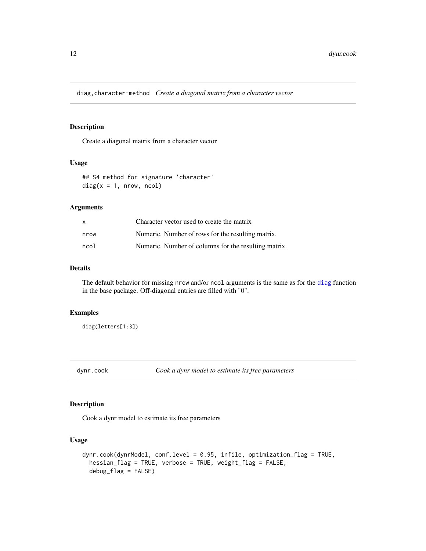<span id="page-11-0"></span>diag,character-method *Create a diagonal matrix from a character vector*

# <span id="page-11-1"></span>Description

Create a diagonal matrix from a character vector

#### Usage

## S4 method for signature 'character'  $diag(x = 1, nrow, ncol)$ 

# Arguments

| x    | Character vector used to create the matrix           |
|------|------------------------------------------------------|
| nrow | Numeric. Number of rows for the resulting matrix.    |
| ncol | Numeric. Number of columns for the resulting matrix. |

# Details

The default behavior for missing nrow and/or ncol arguments is the same as for the [diag](#page-11-1) function in the base package. Off-diagonal entries are filled with "0".

# Examples

diag(letters[1:3])

<span id="page-11-2"></span>dynr.cook *Cook a dynr model to estimate its free parameters*

# Description

Cook a dynr model to estimate its free parameters

#### Usage

```
dynr.cook(dynrModel, conf.level = 0.95, infile, optimization_flag = TRUE,
 hessian_flag = TRUE, verbose = TRUE, weight_flag = FALSE,
 debug_flag = FALSE)
```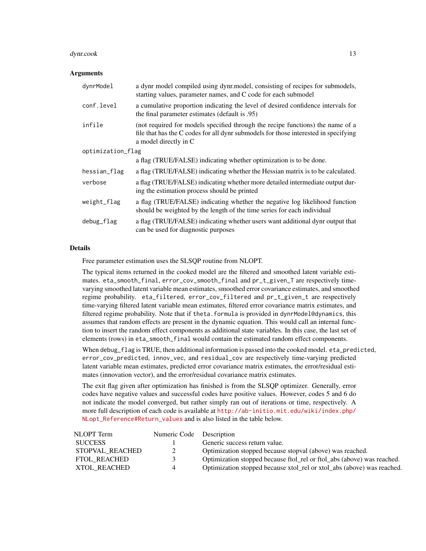#### dynr.cook 13

#### Arguments

| dynrModel         | a dynr model compiled using dynr.model, consisting of recipes for submodels,                                                                                                                   |
|-------------------|------------------------------------------------------------------------------------------------------------------------------------------------------------------------------------------------|
|                   | starting values, parameter names, and C code for each submodel                                                                                                                                 |
| conf.level        | a cumulative proportion indicating the level of desired confidence intervals for<br>the final parameter estimates (default is .95)                                                             |
| infile            | (not required for models specified through the recipe functions) the name of a<br>file that has the C codes for all dynr submodels for those interested in specifying<br>a model directly in C |
| optimization_flag |                                                                                                                                                                                                |
|                   | a flag (TRUE/FALSE) indicating whether optimization is to be done.                                                                                                                             |
| hessian_flag      | a flag (TRUE/FALSE) indicating whether the Hessian matrix is to be calculated.                                                                                                                 |
| verbose           | a flag (TRUE/FALSE) indicating whether more detailed intermediate output dur-<br>ing the estimation process should be printed                                                                  |
| weight_flag       | a flag (TRUE/FALSE) indicating whether the negative log likelihood function<br>should be weighted by the length of the time series for each individual                                         |
| debug_flag        | a flag (TRUE/FALSE) indicating whether users want additional dynr output that<br>can be used for diagnostic purposes                                                                           |

# Details

Free parameter estimation uses the SLSQP routine from NLOPT.

The typical items returned in the cooked model are the filtered and smoothed latent variable estimates. eta\_smooth\_final, error\_cov\_smooth\_final and pr\_t\_given\_T are respectively timevarying smoothed latent variable mean estimates, smoothed error covariance estimates, and smoothed regime probability. eta\_filtered, error\_cov\_filtered and pr\_t\_given\_t are respectively time-varying filtered latent variable mean estimates, filtered error covariance matrix estimates, and filtered regime probability. Note that if theta. formula is provided in dynrModel@dynamics, this assumes that random effects are present in the dynamic equation. This would call an internal function to insert the random effect components as additional state variables. In this case, the last set of elements (rows) in eta\_smooth\_final would contain the estimated random effect components.

When debug\_flag is TRUE, then additional information is passed into the cooked model. eta\_predicted, error\_cov\_predicted, innov\_vec, and residual\_cov are respectively time-varying predicted latent variable mean estimates, predicted error covariance matrix estimates, the error/residual estimates (innovation vector), and the error/residual covariance matrix estimates.

The exit flag given after optimization has finished is from the SLSQP optimizer. Generally, error codes have negative values and successful codes have positive values. However, codes 5 and 6 do not indicate the model converged, but rather simply ran out of iterations or time, respectively. A more full description of each code is available at [http://ab-initio.mit.edu/wiki/index.php/](http://ab-initio.mit.edu/wiki/index.php/NLopt_Reference#Return_values) [NLopt\\_Reference#Return\\_values](http://ab-initio.mit.edu/wiki/index.php/NLopt_Reference#Return_values) and is also listed in the table below.

| NLOPT Term          | Numeric Code | Description                                                            |
|---------------------|--------------|------------------------------------------------------------------------|
| <b>SUCCESS</b>      |              | Generic success return value.                                          |
| STOPVAL REACHED     | 2            | Optimization stopped because stopval (above) was reached.              |
| <b>FTOL REACHED</b> | 3            | Optimization stopped because ftol_rel or ftol_abs (above) was reached. |
| XTOL REACHED        | 4            | Optimization stopped because xtol_rel or xtol_abs (above) was reached. |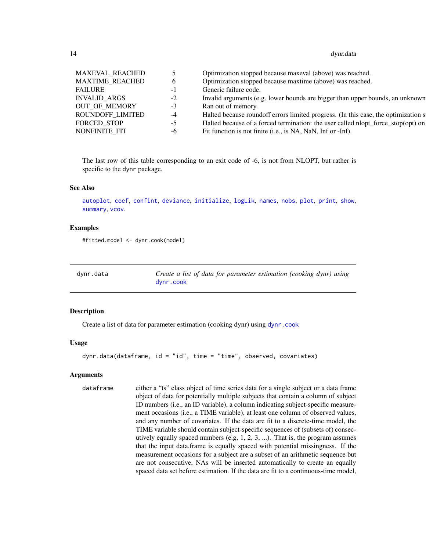#### <span id="page-13-0"></span>14 dynr.data

| <b>MAXEVAL REACHED</b> |    | Optimization stopped because maxeval (above) was reached.                          |
|------------------------|----|------------------------------------------------------------------------------------|
| <b>MAXTIME REACHED</b> |    | Optimization stopped because maxtime (above) was reached.                          |
| <b>FAILURE</b>         |    | Generic failure code.                                                              |
| <b>INVALID ARGS</b>    |    | Invalid arguments (e.g. lower bounds are bigger than upper bounds, an unknown      |
| <b>OUT OF MEMORY</b>   |    | Ran out of memory.                                                                 |
| ROUNDOFF LIMITED       | -4 | Halted because roundoff errors limited progress. (In this case, the optimization s |
| FORCED STOP            |    | Halted because of a forced termination: the user called nlopt_force_stop(opt) on   |
| NONFINITE FIT          | -0 | Fit function is not finite (i.e., is NA, NaN, Inf or -Inf).                        |
|                        |    |                                                                                    |

The last row of this table corresponding to an exit code of -6, is not from NLOPT, but rather is specific to the dynr package.

#### See Also

[autoplot](#page-0-0), [coef](#page-0-0), [confint](#page-0-0), [deviance](#page-0-0), [initialize](#page-0-0), [logLik](#page-0-0), [names](#page-0-0), [nobs](#page-0-0), [plot](#page-0-0), [print](#page-0-0), [show](#page-0-0), [summary](#page-0-0), [vcov](#page-0-0).

#### Examples

#fitted.model <- dynr.cook(model)

<span id="page-13-1"></span>dynr.data *Create a list of data for parameter estimation (cooking dynr) using* [dynr.cook](#page-11-2)

#### **Description**

Create a list of data for parameter estimation (cooking dynr) using [dynr.cook](#page-11-2)

#### Usage

dynr.data(dataframe, id = "id", time = "time", observed, covariates)

# Arguments

dataframe either a "ts" class object of time series data for a single subject or a data frame object of data for potentially multiple subjects that contain a column of subject ID numbers (i.e., an ID variable), a column indicating subject-specific measurement occasions (i.e., a TIME variable), at least one column of observed values, and any number of covariates. If the data are fit to a discrete-time model, the TIME variable should contain subject-specific sequences of (subsets of) consecutively equally spaced numbers (e.g,  $1, 2, 3, ...$ ). That is, the program assumes that the input data.frame is equally spaced with potential missingness. If the measurement occasions for a subject are a subset of an arithmetic sequence but are not consecutive, NAs will be inserted automatically to create an equally spaced data set before estimation. If the data are fit to a continuous-time model,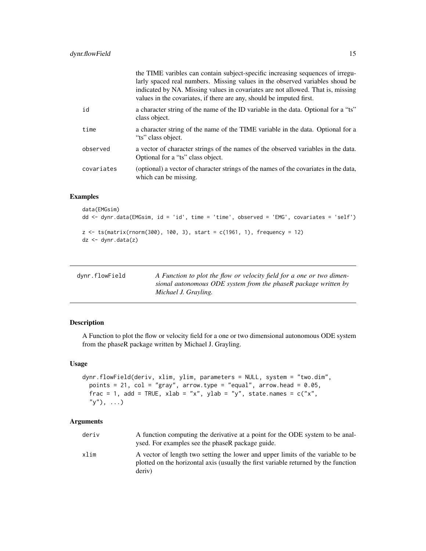<span id="page-14-0"></span>

|            | the TIME varibles can contain subject-specific increasing sequences of irregu-<br>larly spaced real numbers. Missing values in the observed variables shoud be<br>indicated by NA. Missing values in covariates are not allowed. That is, missing<br>values in the covariates, if there are any, should be imputed first. |
|------------|---------------------------------------------------------------------------------------------------------------------------------------------------------------------------------------------------------------------------------------------------------------------------------------------------------------------------|
| id         | a character string of the name of the ID variable in the data. Optional for a "ts"<br>class object.                                                                                                                                                                                                                       |
| time       | a character string of the name of the TIME variable in the data. Optional for a<br>"ts" class object.                                                                                                                                                                                                                     |
| observed   | a vector of character strings of the names of the observed variables in the data.<br>Optional for a "ts" class object.                                                                                                                                                                                                    |
| covariates | (optional) a vector of character strings of the names of the covariates in the data,<br>which can be missing.                                                                                                                                                                                                             |

# Examples

```
data(EMGsim)
dd <- dynr.data(EMGsim, id = 'id', time = 'time', observed = 'EMG', covariates = 'self')
z <- ts(matrix(rnorm(300), 100, 3), start = c(1961, 1), frequency = 12)
dz <- dynr.data(z)
```

| dvnr.flowField | A Function to plot the flow or velocity field for a one or two dimen- |
|----------------|-----------------------------------------------------------------------|
|                | sional autonomous ODE system from the phaseR package written by       |
|                | Michael J. Grayling.                                                  |

#### Description

A Function to plot the flow or velocity field for a one or two dimensional autonomous ODE system from the phaseR package written by Michael J. Grayling.

#### Usage

```
dynr.flowField(deriv, xlim, ylim, parameters = NULL, system = "two.dim",
 points = 21, col = "gray", arrow.type = "equal", arrow.head = 0.05,frac = 1, add = TRUE, xlab = "x", ylab = "y", state.names = c("x","y"), ...)
```
# Arguments

| deriv | A function computing the derivative at a point for the ODE system to be anal-                                                                                          |
|-------|------------------------------------------------------------------------------------------------------------------------------------------------------------------------|
|       | ysed. For examples see the phase R package guide.                                                                                                                      |
| xlim  | A vector of length two setting the lower and upper limits of the variable to be<br>plotted on the horizontal axis (usually the first variable returned by the function |
|       | deriy)                                                                                                                                                                 |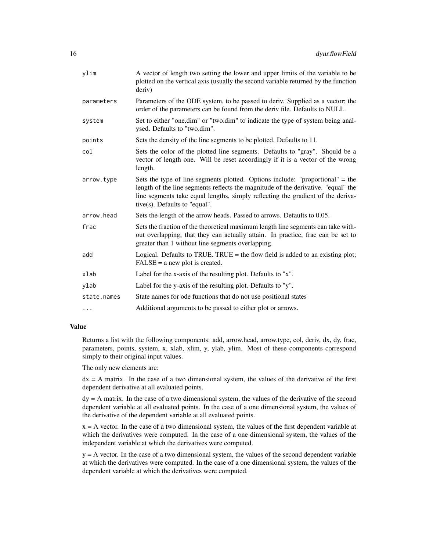| ylim        | A vector of length two setting the lower and upper limits of the variable to be<br>plotted on the vertical axis (usually the second variable returned by the function<br>deriv)                                                                                                          |
|-------------|------------------------------------------------------------------------------------------------------------------------------------------------------------------------------------------------------------------------------------------------------------------------------------------|
| parameters  | Parameters of the ODE system, to be passed to deriv. Supplied as a vector; the<br>order of the parameters can be found from the deriv file. Defaults to NULL.                                                                                                                            |
| system      | Set to either "one.dim" or "two.dim" to indicate the type of system being anal-<br>ysed. Defaults to "two.dim".                                                                                                                                                                          |
| points      | Sets the density of the line segments to be plotted. Defaults to 11.                                                                                                                                                                                                                     |
| col         | Sets the color of the plotted line segments. Defaults to "gray". Should be a<br>vector of length one. Will be reset accordingly if it is a vector of the wrong<br>length.                                                                                                                |
| arrow.type  | Sets the type of line segments plotted. Options include: "proportional" $=$ the<br>length of the line segments reflects the magnitude of the derivative. "equal" the<br>line segments take equal lengths, simply reflecting the gradient of the deriva-<br>tive(s). Defaults to "equal". |
| arrow.head  | Sets the length of the arrow heads. Passed to arrows. Defaults to 0.05.                                                                                                                                                                                                                  |
| frac        | Sets the fraction of the theoretical maximum length line segments can take with-<br>out overlapping, that they can actually attain. In practice, frac can be set to<br>greater than 1 without line segments overlapping.                                                                 |
| add         | Logical. Defaults to TRUE. TRUE $=$ the flow field is added to an existing plot;<br>$FALSE = a new plot is created.$                                                                                                                                                                     |
| xlab        | Label for the x-axis of the resulting plot. Defaults to "x".                                                                                                                                                                                                                             |
| ylab        | Label for the y-axis of the resulting plot. Defaults to "y".                                                                                                                                                                                                                             |
| state.names | State names for ode functions that do not use positional states                                                                                                                                                                                                                          |
| $\cdots$    | Additional arguments to be passed to either plot or arrows.                                                                                                                                                                                                                              |
|             |                                                                                                                                                                                                                                                                                          |

# Value

Returns a list with the following components: add, arrow.head, arrow.type, col, deriv, dx, dy, frac, parameters, points, system, x, xlab, xlim, y, ylab, ylim. Most of these components correspond simply to their original input values.

The only new elements are:

 $dx = A$  matrix. In the case of a two dimensional system, the values of the derivative of the first dependent derivative at all evaluated points.

dy = A matrix. In the case of a two dimensional system, the values of the derivative of the second dependent variable at all evaluated points. In the case of a one dimensional system, the values of the derivative of the dependent variable at all evaluated points.

 $x = A$  vector. In the case of a two dimensional system, the values of the first dependent variable at which the derivatives were computed. In the case of a one dimensional system, the values of the independent variable at which the derivatives were computed.

 $y = A$  vector. In the case of a two dimensional system, the values of the second dependent variable at which the derivatives were computed. In the case of a one dimensional system, the values of the dependent variable at which the derivatives were computed.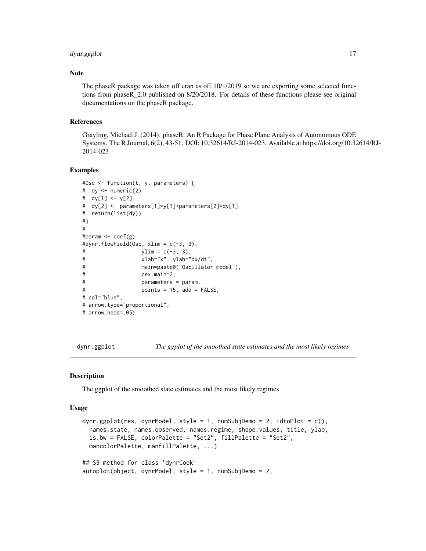# <span id="page-16-0"></span>dynr.ggplot 17

# Note

The phaseR package was taken off cran as off 10/1/2019 so we are exporting some selected functions from phaseR\_2.0 published on 8/20/2018. For details of these functions please see original documentations on the phaseR package.

# References

Grayling, Michael J. (2014). phaseR: An R Package for Phase Plane Analysis of Autonomous ODE Systems. The R Journal, 6(2), 43-51. DOI: 10.32614/RJ-2014-023. Available at https://doi.org/10.32614/RJ-2014-023

# Examples

```
#Osc <- function(t, y, parameters) {
# dy <- numeric(2)
# dy[1] <- y[2]
# dy[2] <- parameters[1]*y[1]+parameters[2]*dy[1]
# return(list(dy))
#}
#
#param <- coef(g)
#dynr.flowField(Osc, xlim = c(-3, 3),
# ylim = c(-3, 3),
# xlab="x", ylab="dx/dt",
# main=paste0("Oscillator model"),
# cex.main=2,
# parameters = param,
# points = 15, add = FALSE,
# col="blue",
# arrow.type="proportional",
# arrow.head=.05)
```
dynr.ggplot *The ggplot of the smoothed state estimates and the most likely regimes*

#### **Description**

The ggplot of the smoothed state estimates and the most likely regimes

#### Usage

```
dynr.ggplot(res, dynrModel, style = 1, numSubjDemo = 2, idtoPlot = c(),
 names.state, names.observed, names.regime, shape.values, title, ylab,
  is.bw = FALSE, colorPalette = "Set2", fillPalette = "Set2",
 mancolorPalette, manfillPalette, ...)
## S3 method for class 'dynrCook'
autoplot(object, dynrModel, style = 1, numSubjDemo = 2,
```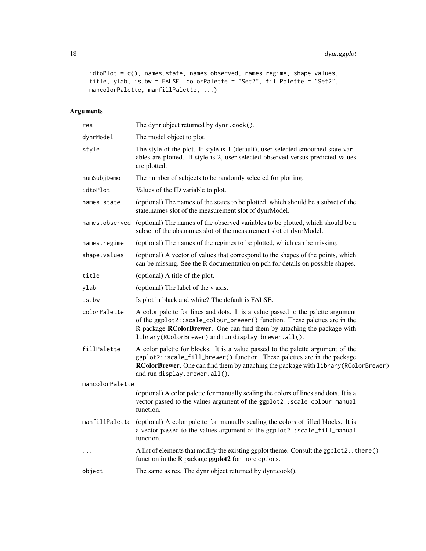```
idtoPlot = c(), names.state, names.observed, names.regime, shape.values,
title, ylab, is.bw = FALSE, colorPalette = "Set2", fillPalette = "Set2",
mancolorPalette, manfillPalette, ...)
```
# Arguments

| res             | The dynr object returned by dynr.cook().                                                                                                                                                                                                                                                        |  |
|-----------------|-------------------------------------------------------------------------------------------------------------------------------------------------------------------------------------------------------------------------------------------------------------------------------------------------|--|
| dynrModel       | The model object to plot.                                                                                                                                                                                                                                                                       |  |
| style           | The style of the plot. If style is 1 (default), user-selected smoothed state vari-<br>ables are plotted. If style is 2, user-selected observed-versus-predicted values<br>are plotted.                                                                                                          |  |
| numSubjDemo     | The number of subjects to be randomly selected for plotting.                                                                                                                                                                                                                                    |  |
| idtoPlot        | Values of the ID variable to plot.                                                                                                                                                                                                                                                              |  |
| names.state     | (optional) The names of the states to be plotted, which should be a subset of the<br>state.names slot of the measurement slot of dynrModel.                                                                                                                                                     |  |
|                 | names.observed (optional) The names of the observed variables to be plotted, which should be a<br>subset of the obs.names slot of the measurement slot of dynrModel.                                                                                                                            |  |
| names.regime    | (optional) The names of the regimes to be plotted, which can be missing.                                                                                                                                                                                                                        |  |
| shape.values    | (optional) A vector of values that correspond to the shapes of the points, which<br>can be missing. See the R documentation on pch for details on possible shapes.                                                                                                                              |  |
| title           | (optional) A title of the plot.                                                                                                                                                                                                                                                                 |  |
| ylab            | (optional) The label of the y axis.                                                                                                                                                                                                                                                             |  |
| is.bw           | Is plot in black and white? The default is FALSE.                                                                                                                                                                                                                                               |  |
| colorPalette    | A color palette for lines and dots. It is a value passed to the palette argument<br>of the ggplot2::scale_colour_brewer() function. These palettes are in the<br>R package RColorBrewer. One can find them by attaching the package with<br>library(RColorBrewer) and run display.brewer.all(). |  |
| fillPalette     | A color palette for blocks. It is a value passed to the palette argument of the<br>ggplot2::scale_fill_brewer() function. These palettes are in the package<br><b>RColorBrewer</b> . One can find them by attaching the package with library (RColorBrewer)<br>and run display.brewer.all().    |  |
| mancolorPalette |                                                                                                                                                                                                                                                                                                 |  |
|                 | (optional) A color palette for manually scaling the colors of lines and dots. It is a<br>vector passed to the values argument of the ggplot2::scale_colour_manual<br>function.                                                                                                                  |  |
|                 | manfillPalette (optional) A color palette for manually scaling the colors of filled blocks. It is<br>a vector passed to the values argument of the ggplot2::scale_fill_manual<br>function.                                                                                                      |  |
| $\ddots$        | A list of elements that modify the existing ggplot theme. Consult the ggplot2:: theme()<br>function in the R package ggplot2 for more options.                                                                                                                                                  |  |
| object          | The same as res. The dynr object returned by dynr.cook().                                                                                                                                                                                                                                       |  |
|                 |                                                                                                                                                                                                                                                                                                 |  |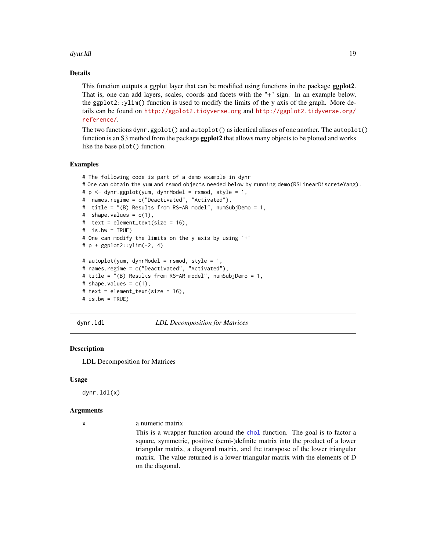#### <span id="page-18-0"></span>dynr.ldl 19

#### Details

This function outputs a ggplot layer that can be modified using functions in the package **ggplot2.** That is, one can add layers, scales, coords and facets with the "+" sign. In an example below, the ggplot2::ylim() function is used to modify the limits of the y axis of the graph. More details can be found on <http://ggplot2.tidyverse.org> and [http://ggplot2.tidyverse.org/](http://ggplot2.tidyverse.org/reference/) [reference/](http://ggplot2.tidyverse.org/reference/).

The two functions dynr.ggplot() and autoplot() as identical aliases of one another. The autoplot() function is an S3 method from the package **ggplot2** that allows many objects to be plotted and works like the base plot() function.

#### Examples

```
# The following code is part of a demo example in dynr
# One can obtain the yum and rsmod objects needed below by running demo(RSLinearDiscreteYang).
# p \le - dynr.ggplot(yum, dynrModel = rsmod, style = 1,
# names.regime = c("Deactivated", "Activated"),
# title = "(B) Results from RS-AR model", numSubjDemo = 1,
# shape.values = c(1),
# text = element_text(size = 16),
# is.bw = TRUE)
# One can modify the limits on the y axis by using '+'
# p + ggplot2::ylim(-2, 4)
# autoplot(yum, dynrModel = rsmod, style = 1,
# names.regime = c("Deactivated", "Activated"),
# title = "(B) Results from RS-AR model", numSubjDemo = 1,
# shape.values = c(1),
# text = element_text(size = 16),
# is.bw = TRUE)
```
dynr.ldl *LDL Decomposition for Matrices*

# Description

LDL Decomposition for Matrices

#### Usage

dynr.ldl(x)

#### Arguments

x a numeric matrix

This is a wrapper function around the [chol](#page-0-0) function. The goal is to factor a square, symmetric, positive (semi-)definite matrix into the product of a lower triangular matrix, a diagonal matrix, and the transpose of the lower triangular matrix. The value returned is a lower triangular matrix with the elements of D on the diagonal.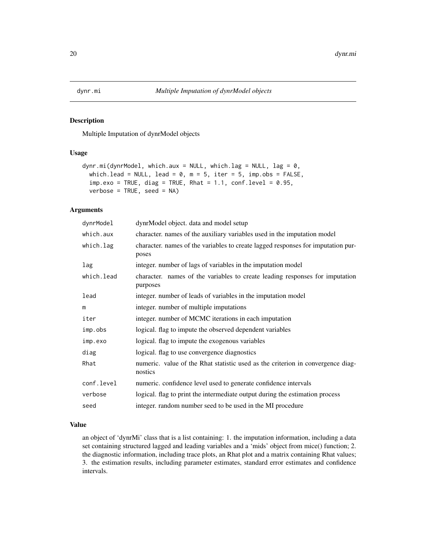<span id="page-19-0"></span>

#### Description

Multiple Imputation of dynrModel objects

# Usage

```
dynr.mi(dynrModel, which.aux = NULL, which.lag = NULL, lag = 0,
 which.lead = NULL, lead = 0, m = 5, iter = 5, imp.obs = FALSE,
  imp.exo = TRUE, diag = TRUE, Rhat = 1.1, conf.level = 0.95,verbose = TRUE, seed = NA)
```
#### Arguments

| dynrModel  | dynrModel object. data and model setup                                                     |
|------------|--------------------------------------------------------------------------------------------|
| which.aux  | character. names of the auxiliary variables used in the imputation model                   |
| which.lag  | character, names of the variables to create lagged responses for imputation pur-<br>poses  |
| lag        | integer. number of lags of variables in the imputation model                               |
| which.lead | character. names of the variables to create leading responses for imputation<br>purposes   |
| lead       | integer, number of leads of variables in the imputation model                              |
| m          | integer. number of multiple imputations                                                    |
| iter       | integer, number of MCMC iterations in each imputation                                      |
| imp.obs    | logical. flag to impute the observed dependent variables                                   |
| imp.exo    | logical. flag to impute the exogenous variables                                            |
| diag       | logical. flag to use convergence diagnostics                                               |
| Rhat       | numeric. value of the Rhat statistic used as the criterion in convergence diag-<br>nostics |
| conf.level | numeric. confidence level used to generate confidence intervals                            |
| verbose    | logical. flag to print the intermediate output during the estimation process               |
| seed       | integer. random number seed to be used in the MI procedure                                 |

#### Value

an object of 'dynrMi' class that is a list containing: 1. the imputation information, including a data set containing structured lagged and leading variables and a 'mids' object from mice() function; 2. the diagnostic information, including trace plots, an Rhat plot and a matrix containing Rhat values; 3. the estimation results, including parameter estimates, standard error estimates and confidence intervals.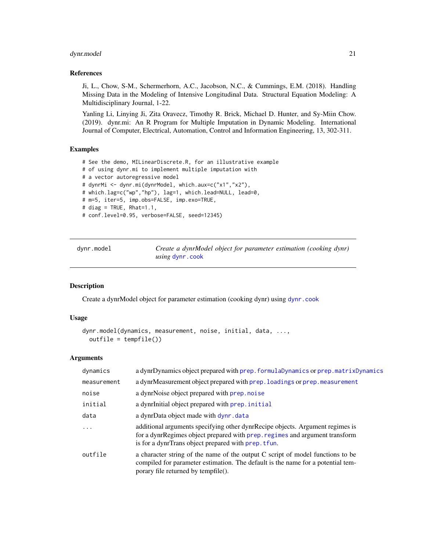# <span id="page-20-0"></span>dynr.model 21

#### References

Ji, L., Chow, S-M., Schermerhorn, A.C., Jacobson, N.C., & Cummings, E.M. (2018). Handling Missing Data in the Modeling of Intensive Longitudinal Data. Structural Equation Modeling: A Multidisciplinary Journal, 1-22.

Yanling Li, Linying Ji, Zita Oravecz, Timothy R. Brick, Michael D. Hunter, and Sy-Miin Chow. (2019). dynr.mi: An R Program for Multiple Imputation in Dynamic Modeling. International Journal of Computer, Electrical, Automation, Control and Information Engineering, 13, 302-311.

# Examples

```
# See the demo, MILinearDiscrete.R, for an illustrative example
# of using dynr.mi to implement multiple imputation with
# a vector autoregressive model
# dynrMi <- dynr.mi(dynrModel, which.aux=c("x1","x2"),
# which.lag=c("wp","hp"), lag=1, which.lead=NULL, lead=0,
# m=5, iter=5, imp.obs=FALSE, imp.exo=TRUE,
# diag = TRUE, Rhat=1.1,
# conf.level=0.95, verbose=FALSE, seed=12345)
```
<span id="page-20-1"></span>dynr.model *Create a dynrModel object for parameter estimation (cooking dynr) using* [dynr.cook](#page-11-2)

#### Description

Create a dynrModel object for parameter estimation (cooking dynr) using [dynr.cook](#page-11-2)

# Usage

```
dynr.model(dynamics, measurement, noise, initial, data, ...,
 outfile = tempfile())
```
#### **Arguments**

| dynamics    | a dynrDynamics object prepared with prep. formulaDynamics or prep. matrixDynamics                                                                                                                                   |
|-------------|---------------------------------------------------------------------------------------------------------------------------------------------------------------------------------------------------------------------|
| measurement | a dynrMeasurement object prepared with prep. loadings or prep. measurement                                                                                                                                          |
| noise       | a dynrNoise object prepared with prep. noise                                                                                                                                                                        |
| initial     | a dynrimitial object prepared with prep. initial                                                                                                                                                                    |
| data        | a dynrData object made with dynr.data                                                                                                                                                                               |
| $\cdot$     | additional arguments specifying other dynrRecipe objects. Argument regimes is<br>for a dynrRegimes object prepared with prep. regimes and argument transform<br>is for a dynrTrans object prepared with prep. tfun. |
| outfile     | a character string of the name of the output C script of model functions to be<br>compiled for parameter estimation. The default is the name for a potential tem-<br>porary file returned by tempfile().            |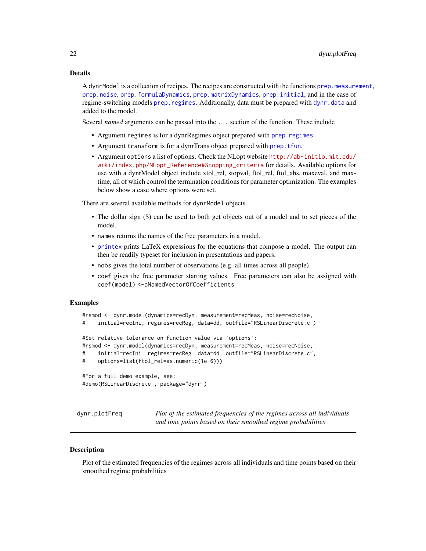#### <span id="page-21-0"></span>Details

A dynrModel is a collection of recipes. The recipes are constructed with the functions prep. measurement, [prep.noise](#page-59-1), [prep.formulaDynamics](#page-50-1), [prep.matrixDynamics](#page-57-1), [prep.initial](#page-52-1), and in the case of regime-switching models [prep.regimes](#page-61-1). Additionally, data must be prepared with [dynr.data](#page-13-1) and added to the model.

Several *named* arguments can be passed into the ... section of the function. These include

- Argument regimes is for a dynrRegimes object prepared with prep. regimes
- Argument transform is for a dynrTrans object prepared with [prep.tfun](#page-63-1).
- Argument options a list of options. Check the NLopt website [http://ab-initio.mit.edu/](http://ab-initio.mit.edu/wiki/index.php/NLopt_Reference#Stopping_criteria) [wiki/index.php/NLopt\\_Reference#Stopping\\_criteria](http://ab-initio.mit.edu/wiki/index.php/NLopt_Reference#Stopping_criteria) for details. Available options for use with a dynrModel object include xtol\_rel, stopval, ftol\_rel, ftol\_abs, maxeval, and maxtime, all of which control the termination conditions for parameter optimization. The examples below show a case where options were set.

There are several available methods for dynrModel objects.

- The dollar sign (\$) can be used to both get objects out of a model and to set pieces of the model.
- names returns the names of the free parameters in a model.
- [printex](#page-64-1) prints LaTeX expressions for the equations that compose a model. The output can then be readily typeset for inclusion in presentations and papers.
- nobs gives the total number of observations (e.g. all times across all people)
- coef gives the free parameter starting values. Free parameters can also be assigned with coef(model) <-aNamedVectorOfCoefficients

# Examples

```
#rsmod <- dynr.model(dynamics=recDyn, measurement=recMeas, noise=recNoise,
# initial=recIni, regimes=recReg, data=dd, outfile="RSLinearDiscrete.c")
#Set relative tolerance on function value via 'options':
#rsmod <- dynr.model(dynamics=recDyn, measurement=recMeas, noise=recNoise,
# initial=recIni, regimes=recReg, data=dd, outfile="RSLinearDiscrete.c",
# options=list(ftol_rel=as.numeric(1e-6)))
#For a full demo example, see:
#demo(RSLinearDiscrete , package="dynr")
```
dynr.plotFreq *Plot of the estimated frequencies of the regimes across all individuals and time points based on their smoothed regime probabilities*

#### **Description**

Plot of the estimated frequencies of the regimes across all individuals and time points based on their smoothed regime probabilities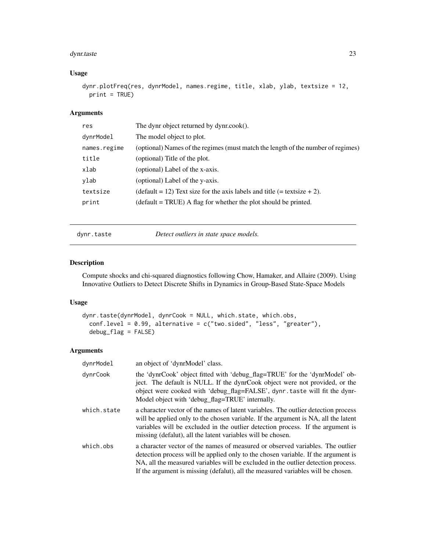#### <span id="page-22-0"></span>dynr.taste 23

# Usage

```
dynr.plotFreq(res, dynrModel, names.regime, title, xlab, ylab, textsize = 12,
 print = TRUE)
```
# Arguments

| res          | The dynr object returned by dynr.cook().                                         |
|--------------|----------------------------------------------------------------------------------|
| dynrModel    | The model object to plot.                                                        |
| names.regime | (optional) Names of the regimes (must match the length of the number of regimes) |
| title        | (optional) Title of the plot.                                                    |
| xlab         | (optional) Label of the x-axis.                                                  |
| ylab         | (optional) Label of the y-axis.                                                  |
| textsize     | $(detault = 12)$ Text size for the axis labels and title (= textsize + 2).       |
| print        | $(default = TRUE)$ A flag for whether the plot should be printed.                |
|              |                                                                                  |

dynr.taste *Detect outliers in state space models.*

#### Description

Compute shocks and chi-squared diagnostics following Chow, Hamaker, and Allaire (2009). Using Innovative Outliers to Detect Discrete Shifts in Dynamics in Group-Based State-Space Models

# Usage

```
dynr.taste(dynrModel, dynrCook = NULL, which.state, which.obs,
 conf.level = 0.99, alternative = c("two.sided", "less", "greater"),
  debug_flag = FALSE)
```
# Arguments

| dynrModel   | an object of 'dynrModel' class.                                                                                                                                                                                                                                                                                                              |
|-------------|----------------------------------------------------------------------------------------------------------------------------------------------------------------------------------------------------------------------------------------------------------------------------------------------------------------------------------------------|
| dynrCook    | the 'dynrCook' object fitted with 'debug_flag=TRUE' for the 'dynrModel' ob-<br>ject. The default is NULL. If the dynrCook object were not provided, or the<br>object were cooked with 'debug_flag=FALSE', dynr.taste will fit the dynr-<br>Model object with 'debug_flag=TRUE' internally.                                                   |
| which.state | a character vector of the names of latent variables. The outlier detection process<br>will be applied only to the chosen variable. If the argument is NA, all the latent<br>variables will be excluded in the outlier detection process. If the argument is<br>missing (defalut), all the latent variables will be chosen.                   |
| which.obs   | a character vector of the names of measured or observed variables. The outlier<br>detection process will be applied only to the chosen variable. If the argument is<br>NA, all the measured variables will be excluded in the outlier detection process.<br>If the argument is missing (defalut), all the measured variables will be chosen. |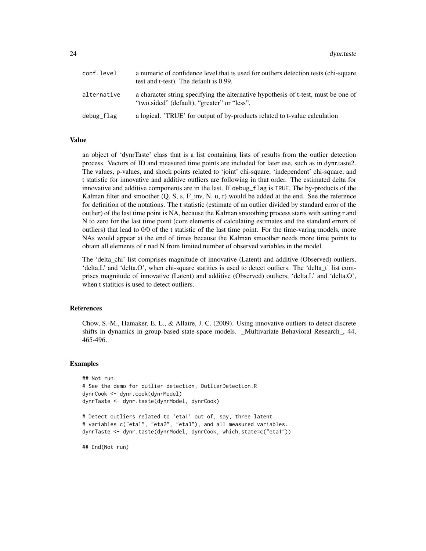| conf.level  | a numeric of confidence level that is used for outliers detection tests (chi-square)<br>test and t-test). The default is 0.99.    |
|-------------|-----------------------------------------------------------------------------------------------------------------------------------|
| alternative | a character string specifying the alternative hypothesis of t-test, must be one of<br>"two.sided" (default), "greater" or "less". |
| debug_flag  | a logical. 'TRUE' for output of by-products related to t-value calculation                                                        |

#### Value

an object of 'dynrTaste' class that is a list containing lists of results from the outlier detection process. Vectors of ID and measured time points are included for later use, such as in dynr.taste2. The values, p-values, and shock points related to 'joint' chi-square, 'independent' chi-square, and t statistic for innovative and additive outliers are following in that order. The estimated delta for innovative and additive components are in the last. If debug\_flag is TRUE, The by-products of the Kalman filter and smoother  $(Q, S, s, F$  inv, N, u, r) would be added at the end. See the reference for definition of the notations. The t statistic (estimate of an outlier divided by standard error of the outlier) of the last time point is NA, because the Kalman smoothing process starts with setting r and N to zero for the last time point (core elements of calculating estimates and the standard errors of outliers) that lead to 0/0 of the t statistic of the last time point. For the time-varing models, more NAs would appear at the end of times because the Kalman smoother needs more time points to obtain all elements of r nad N from limited number of observed variables in the model.

The 'delta\_chi' list comprises magnitude of innovative (Latent) and additive (Observed) outliers, 'delta.L' and 'delta.O', when chi-square statitics is used to detect outliers. The 'delta\_t' list comprises magnitude of innovative (Latent) and additive (Observed) outliers, 'delta.L' and 'delta.O', when t statitics is used to detect outliers.

#### References

Chow, S.-M., Hamaker, E. L., & Allaire, J. C. (2009). Using innovative outliers to detect discrete shifts in dynamics in group-based state-space models. \_Multivariate Behavioral Research\_, 44, 465-496.

#### Examples

```
## Not run:
# See the demo for outlier detection, OutlierDetection.R
dynrCook <- dynr.cook(dynrModel)
dynrTaste <- dynr.taste(dynrModel, dynrCook)
```

```
# Detect outliers related to 'eta1' out of, say, three latent
# variables c("eta1", "eta2", "eta3"), and all measured variables.
dynrTaste <- dynr.taste(dynrModel, dynrCook, which.state=c("eta1"))
```
## End(Not run)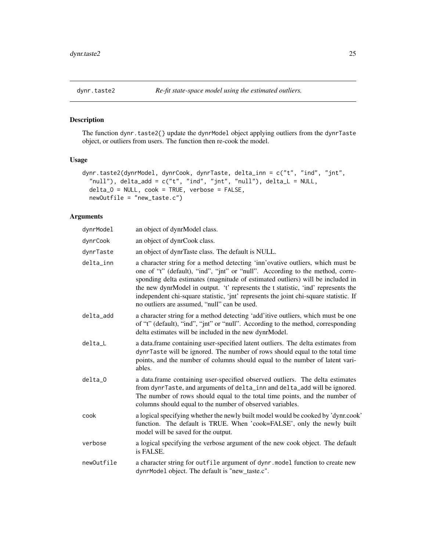# <span id="page-24-0"></span>Description

The function dynr.taste2{} update the dynrModel object applying outliers from the dynrTaste object, or outliers from users. The function then re-cook the model.

# Usage

```
dynr.taste2(dynrModel, dynrCook, dynrTaste, delta_inn = c("t", "ind", "jnt",
  "null", delta_add = c("t", "ind", "jnt", "null"), delta_L = NULL,
 delta_O = NULL, cook = TRUE, verbose = FALSE,
 newOutfile = "new_taste.c")
```
#### Arguments

| dynrModel  | an object of dynrModel class.                                                                                                                                                                                                                                                                                                                                                                                                                                                   |
|------------|---------------------------------------------------------------------------------------------------------------------------------------------------------------------------------------------------------------------------------------------------------------------------------------------------------------------------------------------------------------------------------------------------------------------------------------------------------------------------------|
| dynrCook   | an object of dynrCook class.                                                                                                                                                                                                                                                                                                                                                                                                                                                    |
| dynrTaste  | an object of dynrTaste class. The default is NULL.                                                                                                                                                                                                                                                                                                                                                                                                                              |
| delta_inn  | a character string for a method detecting 'inn'ovative outliers, which must be<br>one of "t" (default), "ind", "jnt" or "null". According to the method, corre-<br>sponding delta estimates (magnitude of estimated outliers) will be included in<br>the new dynrModel in output. 't' represents the t statistic, 'ind' represents the<br>independent chi-square statistic, 'jnt' represents the joint chi-square statistic. If<br>no outliers are assumed, "null" can be used. |
| delta_add  | a character string for a method detecting 'add'itive outliers, which must be one<br>of "t" (default), "ind", "jnt" or "null". According to the method, corresponding<br>delta estimates will be included in the new dynrModel.                                                                                                                                                                                                                                                  |
| delta_L    | a data.frame containing user-specified latent outliers. The delta estimates from<br>dynrTaste will be ignored. The number of rows should equal to the total time<br>points, and the number of columns should equal to the number of latent vari-<br>ables.                                                                                                                                                                                                                      |
| delta_0    | a data.frame containing user-specified observed outliers. The delta estimates<br>from dynrTaste, and arguments of delta_inn and delta_add will be ignored.<br>The number of rows should equal to the total time points, and the number of<br>columns should equal to the number of observed variables.                                                                                                                                                                          |
| cook       | a logical specifying whether the newly built model would be cooked by 'dynr.cook'<br>function. The default is TRUE. When 'cook=FALSE', only the newly built<br>model will be saved for the output.                                                                                                                                                                                                                                                                              |
| verbose    | a logical specifying the verbose argument of the new cook object. The default<br>is FALSE.                                                                                                                                                                                                                                                                                                                                                                                      |
| newOutfile | a character string for outfile argument of dynr. model function to create new<br>dynrModel object. The default is "new_taste.c".                                                                                                                                                                                                                                                                                                                                                |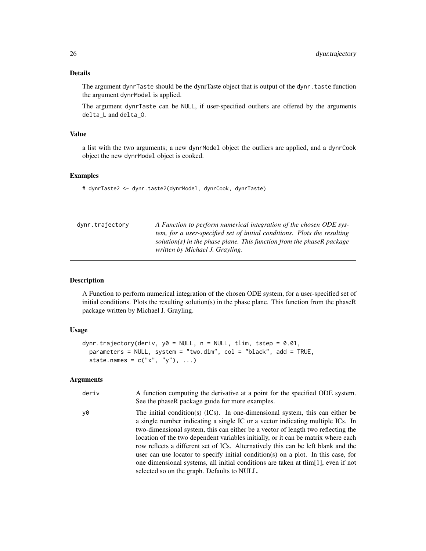# <span id="page-25-0"></span>Details

The argument dynrTaste should be the dynrTaste object that is output of the dynr.taste function the argument dynrModel is applied.

The argument dynrTaste can be NULL, if user-specified outliers are offered by the arguments delta\_L and delta\_O.

# Value

a list with the two arguments; a new dynrModel object the outliers are applied, and a dynrCook object the new dynrModel object is cooked.

# Examples

# dynrTaste2 <- dynr.taste2(dynrModel, dynrCook, dynrTaste)

| dynr.trajectory | A Function to perform numerical integration of the chosen ODE sys-       |
|-----------------|--------------------------------------------------------------------------|
|                 | tem, for a user-specified set of initial conditions. Plots the resulting |
|                 | solution(s) in the phase plane. This function from the phase $R$ package |
|                 | written by Michael J. Grayling.                                          |

#### Description

A Function to perform numerical integration of the chosen ODE system, for a user-specified set of initial conditions. Plots the resulting solution(s) in the phase plane. This function from the phaseR package written by Michael J. Grayling.

#### Usage

```
dynr.trajectory(deriv, y0 = NULL, n = NULL, tlim, tstep = 0.01,
 parameters = NULL, system = "two.dim", col = "black", add = TRUE,
  state.names = c("x", "y"), ...
```
#### Arguments

| deriv | A function computing the derivative at a point for the specified ODE system.<br>See the phase R package guide for more examples.                                                                                                                                                                                                                                                                                                                                                                                                                                                                                                                          |
|-------|-----------------------------------------------------------------------------------------------------------------------------------------------------------------------------------------------------------------------------------------------------------------------------------------------------------------------------------------------------------------------------------------------------------------------------------------------------------------------------------------------------------------------------------------------------------------------------------------------------------------------------------------------------------|
| y0    | The initial condition(s) (ICs). In one-dimensional system, this can either be<br>a single number indicating a single IC or a vector indicating multiple ICs. In<br>two-dimensional system, this can either be a vector of length two reflecting the<br>location of the two dependent variables initially, or it can be matrix where each<br>row reflects a different set of ICs. Alternatively this can be left blank and the<br>user can use locator to specify initial condition(s) on a plot. In this case, for<br>one dimensional systems, all initial conditions are taken at $\lim[1]$ , even if not<br>selected so on the graph. Defaults to NULL. |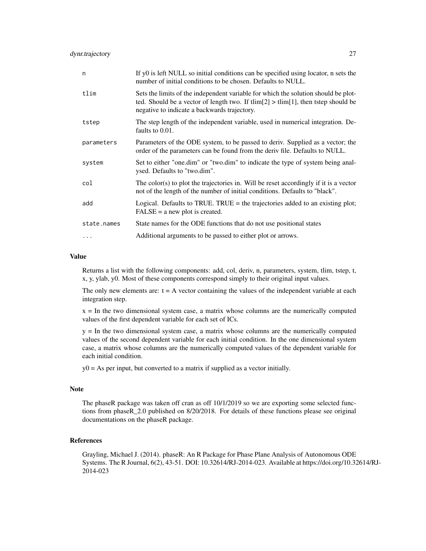| n           | If y0 is left NULL so initial conditions can be specified using locator, n sets the<br>number of initial conditions to be chosen. Defaults to NULL.                                                                        |
|-------------|----------------------------------------------------------------------------------------------------------------------------------------------------------------------------------------------------------------------------|
| tlim        | Sets the limits of the independent variable for which the solution should be plot-<br>ted. Should be a vector of length two. If $\lim[2] > \lim[1]$ , then tstep should be<br>negative to indicate a backwards trajectory. |
| tstep       | The step length of the independent variable, used in numerical integration. De-<br>faults to 0.01.                                                                                                                         |
| parameters  | Parameters of the ODE system, to be passed to deriv. Supplied as a vector; the<br>order of the parameters can be found from the deriv file. Defaults to NULL.                                                              |
| system      | Set to either "one.dim" or "two.dim" to indicate the type of system being anal-<br>ysed. Defaults to "two.dim".                                                                                                            |
| col         | The color(s) to plot the trajectories in. Will be reset accordingly if it is a vector<br>not of the length of the number of initial conditions. Defaults to "black".                                                       |
| add         | Logical. Defaults to TRUE. TRUE $=$ the trajectories added to an existing plot;<br>$FALSE = a new plot is created.$                                                                                                        |
| state.names | State names for the ODE functions that do not use positional states                                                                                                                                                        |
| $\ddots$    | Additional arguments to be passed to either plot or arrows.                                                                                                                                                                |

# Value

Returns a list with the following components: add, col, deriv, n, parameters, system, tlim, tstep, t, x, y, ylab, y0. Most of these components correspond simply to their original input values.

The only new elements are:  $t = A$  vector containing the values of the independent variable at each integration step.

 $x =$  In the two dimensional system case, a matrix whose columns are the numerically computed values of the first dependent variable for each set of ICs.

y = In the two dimensional system case, a matrix whose columns are the numerically computed values of the second dependent variable for each initial condition. In the one dimensional system case, a matrix whose columns are the numerically computed values of the dependent variable for each initial condition.

y0 = As per input, but converted to a matrix if supplied as a vector initially.

#### Note

The phaseR package was taken off cran as off 10/1/2019 so we are exporting some selected functions from phaseR\_2.0 published on 8/20/2018. For details of these functions please see original documentations on the phaseR package.

#### References

Grayling, Michael J. (2014). phaseR: An R Package for Phase Plane Analysis of Autonomous ODE Systems. The R Journal, 6(2), 43-51. DOI: 10.32614/RJ-2014-023. Available at https://doi.org/10.32614/RJ-2014-023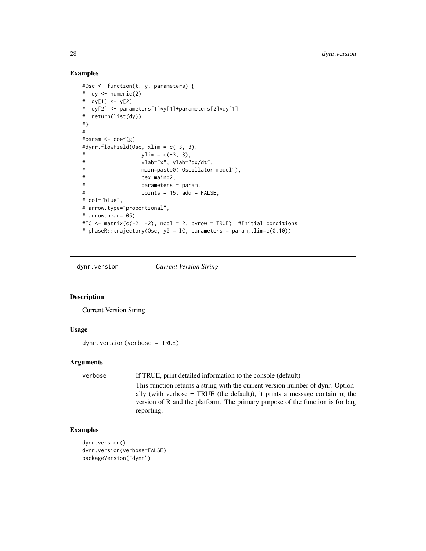# Examples

```
#Osc <- function(t, y, parameters) {
# dy <- numeric(2)
# dy[1] <- y[2]
# dy[2] <- parameters[1]*y[1]+parameters[2]*dy[1]
# return(list(dy))
#}
#
#param <- coef(g)
#dynr.flowField(Osc, xlim = c(-3, 3),
# ylim = c(-3, 3),
# xlab="x", ylab="dx/dt",
# main=paste0("Oscillator model"),
# cex.main=2,
# parameters = param,
# points = 15, add = FALSE,
# col="blue",
# arrow.type="proportional",
# arrow.head=.05)
#IC <- matrix(c(-2, -2), ncol = 2, byrow = TRUE) #Initial conditions
# phaseR::trajectory(Osc, y0 = IC, parameters = param,tlim=c(0,10))
```
dynr.version *Current Version String*

#### Description

Current Version String

# Usage

dynr.version(verbose = TRUE)

# Arguments

verbose If TRUE, print detailed information to the console (default)

This function returns a string with the current version number of dynr. Optionally (with verbose = TRUE (the default)), it prints a message containing the version of R and the platform. The primary purpose of the function is for bug reporting.

#### Examples

```
dynr.version()
dynr.version(verbose=FALSE)
packageVersion("dynr")
```
<span id="page-27-0"></span>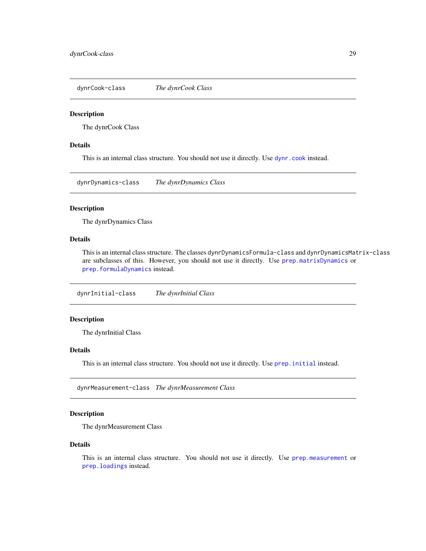<span id="page-28-0"></span>dynrCook-class *The dynrCook Class*

#### Description

The dynrCook Class

# Details

This is an internal class structure. You should not use it directly. Use [dynr.cook](#page-11-2) instead.

<span id="page-28-2"></span>dynrDynamics-class *The dynrDynamics Class*

#### Description

The dynrDynamics Class

# Details

This is an internal class structure. The classes dynrDynamicsFormula-class and dynrDynamicsMatrix-class are subclasses of this. However, you should not use it directly. Use [prep.matrixDynamics](#page-57-1) or [prep.formulaDynamics](#page-50-1) instead.

<span id="page-28-3"></span>dynrInitial-class *The dynrInitial Class*

# Description

The dynrInitial Class

#### Details

This is an internal class structure. You should not use it directly. Use prep. initial instead.

<span id="page-28-1"></span>dynrMeasurement-class *The dynrMeasurement Class*

# Description

The dynrMeasurement Class

#### Details

This is an internal class structure. You should not use it directly. Use [prep.measurement](#page-58-1) or [prep.loadings](#page-55-1) instead.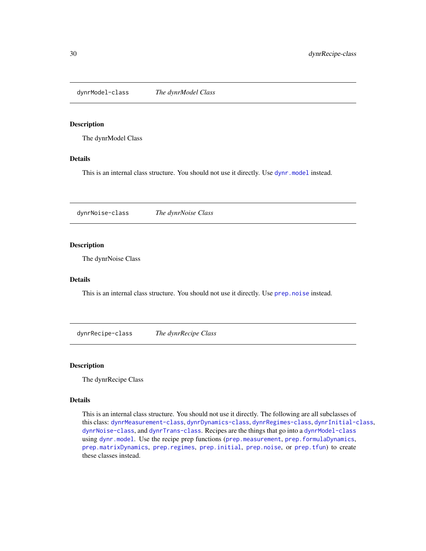<span id="page-29-2"></span><span id="page-29-0"></span>dynrModel-class *The dynrModel Class*

#### Description

The dynrModel Class

# Details

This is an internal class structure. You should not use it directly. Use [dynr.model](#page-20-1) instead.

<span id="page-29-1"></span>dynrNoise-class *The dynrNoise Class*

# Description

The dynrNoise Class

# Details

This is an internal class structure. You should not use it directly. Use [prep.noise](#page-59-1) instead.

dynrRecipe-class *The dynrRecipe Class*

#### Description

The dynrRecipe Class

#### Details

This is an internal class structure. You should not use it directly. The following are all subclasses of this class: [dynrMeasurement-class](#page-28-1), [dynrDynamics-class](#page-28-2), [dynrRegimes-class](#page-30-1), [dynrInitial-class](#page-28-3), [dynrNoise-class](#page-29-1), and [dynrTrans-class](#page-30-2). Recipes are the things that go into a [dynrModel-class](#page-29-2) using [dynr.model](#page-20-1). Use the recipe prep functions ([prep.measurement](#page-58-1), [prep.formulaDynamics](#page-50-1), [prep.matrixDynamics](#page-57-1), [prep.regimes](#page-61-1), [prep.initial](#page-52-1), [prep.noise](#page-59-1), or [prep.tfun](#page-63-1)) to create these classes instead.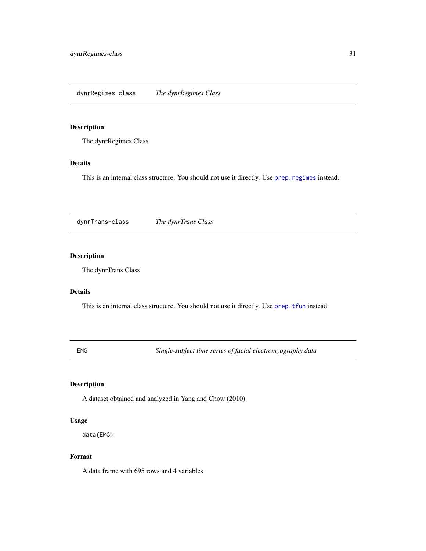# <span id="page-30-1"></span><span id="page-30-0"></span>Description

The dynrRegimes Class

# Details

This is an internal class structure. You should not use it directly. Use [prep.regimes](#page-61-1) instead.

<span id="page-30-2"></span>dynrTrans-class *The dynrTrans Class*

# Description

The dynrTrans Class

# Details

This is an internal class structure. You should not use it directly. Use [prep.tfun](#page-63-1) instead.

EMG *Single-subject time series of facial electromyography data*

# Description

A dataset obtained and analyzed in Yang and Chow (2010).

# Usage

```
data(EMG)
```
# Format

A data frame with 695 rows and 4 variables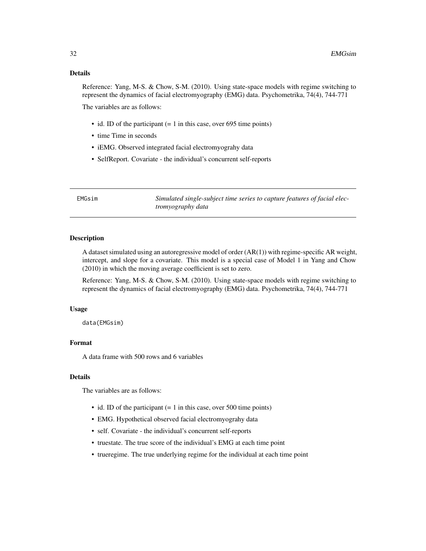# <span id="page-31-0"></span>Details

Reference: Yang, M-S. & Chow, S-M. (2010). Using state-space models with regime switching to represent the dynamics of facial electromyography (EMG) data. Psychometrika, 74(4), 744-771

The variables are as follows:

- id. ID of the participant  $(= 1 \text{ in this case}, \text{over 695 time points})$
- time Time in seconds
- iEMG. Observed integrated facial electromyograhy data
- SelfReport. Covariate the individual's concurrent self-reports

EMGsim *Simulated single-subject time series to capture features of facial electromyography data*

#### Description

A dataset simulated using an autoregressive model of order (AR(1)) with regime-specific AR weight, intercept, and slope for a covariate. This model is a special case of Model 1 in Yang and Chow (2010) in which the moving average coefficient is set to zero.

Reference: Yang, M-S. & Chow, S-M. (2010). Using state-space models with regime switching to represent the dynamics of facial electromyography (EMG) data. Psychometrika, 74(4), 744-771

#### Usage

data(EMGsim)

#### Format

A data frame with 500 rows and 6 variables

# **Details**

The variables are as follows:

- id. ID of the participant  $(= 1 \text{ in this case}, \text{ over } 500 \text{ time points})$
- EMG. Hypothetical observed facial electromyograhy data
- self. Covariate the individual's concurrent self-reports
- truestate. The true score of the individual's EMG at each time point
- trueregime. The true underlying regime for the individual at each time point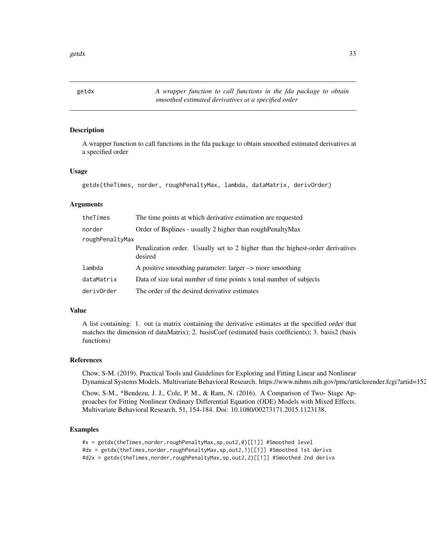<span id="page-32-0"></span>getdx *A wrapper function to call functions in the fda package to obtain smoothed estimated derivatives at a specified order*

# Description

A wrapper function to call functions in the fda package to obtain smoothed estimated derivatives at a specified order

#### Usage

```
getdx(theTimes, norder, roughPenaltyMax, lambda, dataMatrix, derivOrder)
```
#### Arguments

| theTimes        | The time points at which derivative estimation are requested                              |
|-----------------|-------------------------------------------------------------------------------------------|
| norder          | Order of Bsplines - usually 2 higher than rough Penalty Max                               |
| roughPenaltyMax |                                                                                           |
|                 | Penalization order. Usually set to 2 higher than the highest-order derivatives<br>desired |
| lambda          | A positive smoothing parameter: $larger \rightarrow more smoothing$                       |
| dataMatrix      | Data of size total number of time points x total number of subjects                       |
| derivOrder      | The order of the desired derivative estimates                                             |

#### Value

A list containing: 1. out (a matrix containing the derivative estimates at the specified order that matches the dimension of dataMatrix); 2. basisCoef (estimated basis coefficients); 3. basis2 (basis functions)

#### References

Chow, S-M. (2019). Practical Tools and Guidelines for Exploring and Fitting Linear and Nonlinear Dynamical Systems Models. Multivariate Behavioral Research. https://www.nihms.nih.gov/pmc/articlerender.fcgi?artid=152

Chow, S-M., \*Bendezu, J. J., Cole, P. M., & Ram, N. (2016). A Comparison of Two- Stage Approaches for Fitting Nonlinear Ordinary Differential Equation (ODE) Models with Mixed Effects. Multivariate Behavioral Research, 51, 154-184. Doi: 10.1080/00273171.2015.1123138.

#### Examples

```
#x = getdx(theTimes,norder,roughPenaltyMax,sp,out2,0)[[1]] #Smoothed level
#dx = getdx(theTimes,norder,roughPenaltyMax,sp,out2,1)[[1]] #Smoothed 1st derivs
#d2x = getdx(theTimes,norder,roughPenaltyMax,sp,out2,2)[[1]] #Smoothed 2nd derivs
```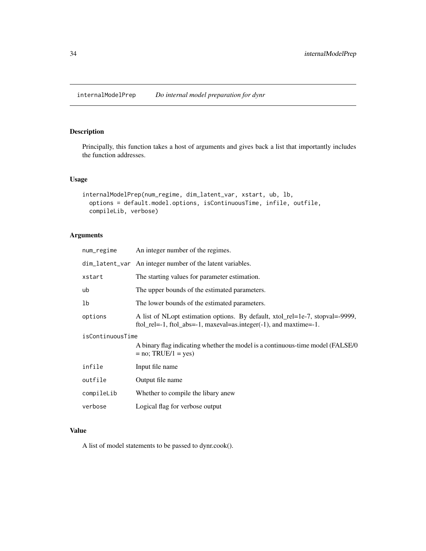<span id="page-33-0"></span>internalModelPrep *Do internal model preparation for dynr*

# Description

Principally, this function takes a host of arguments and gives back a list that importantly includes the function addresses.

# Usage

```
internalModelPrep(num_regime, dim_latent_var, xstart, ub, lb,
 options = default.model.options, isContinuousTime, infile, outfile,
 compileLib, verbose)
```
# Arguments

| num_regime       | An integer number of the regimes.                                                                                                                      |  |
|------------------|--------------------------------------------------------------------------------------------------------------------------------------------------------|--|
|                  | dim_latent_var An integer number of the latent variables.                                                                                              |  |
| xstart           | The starting values for parameter estimation.                                                                                                          |  |
| ub               | The upper bounds of the estimated parameters.                                                                                                          |  |
| 1b               | The lower bounds of the estimated parameters.                                                                                                          |  |
| options          | A list of NLopt estimation options. By default, xtol_rel=1e-7, stopval=-9999,<br>ftol_rel=-1, ftol_abs=-1, maxeval=as.integer $(-1)$ , and maxtime=-1. |  |
| isContinuousTime |                                                                                                                                                        |  |
|                  | A binary flag indicating whether the model is a continuous-time model (FALSE/0)<br>$=$ no; TRUE/1 $=$ yes)                                             |  |
| infile           | Input file name                                                                                                                                        |  |
| outfile          | Output file name                                                                                                                                       |  |
| compileLib       | Whether to compile the libary anew                                                                                                                     |  |
| verbose          | Logical flag for verbose output                                                                                                                        |  |

# Value

A list of model statements to be passed to dynr.cook().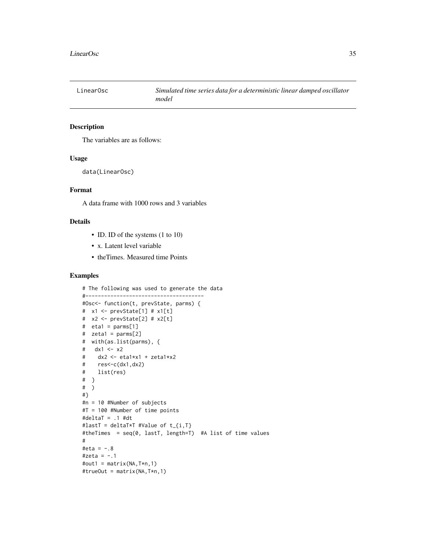<span id="page-34-0"></span>

# Description

The variables are as follows:

#### Usage

```
data(LinearOsc)
```
#### Format

A data frame with 1000 rows and 3 variables

# Details

- ID. ID of the systems  $(1 \text{ to } 10)$
- x. Latent level variable
- theTimes. Measured time Points

# Examples

```
# The following was used to generate the data
#--------------------------------------
```

```
#Osc<- function(t, prevState, parms) {
# x1 <- prevState[1] # x1[t]
# x2 <- prevState[2] # x2[t]
# eta = parms[1]# zeta1 = parms[2]
# with(as.list(parms), {
# dx1 <- x2
# dx2 <- eta1*x1 + zeta1*x2
# res<-c(dx1,dx2)
# list(res)
# }
# )
#}
#n = 10 #Number of subjects
#T = 100 #Number of time points
#deltaT = .1 #dt
#lastT = deltaT*T #Value of t_{i,T}
#theTimes = seq(0, lastT, length=T) #A list of time values
#
#eta = -.8#zeta = -.1#out1 = matrix(NA, T*n, 1)#trueOut = matrix(NA,T*n,1)
```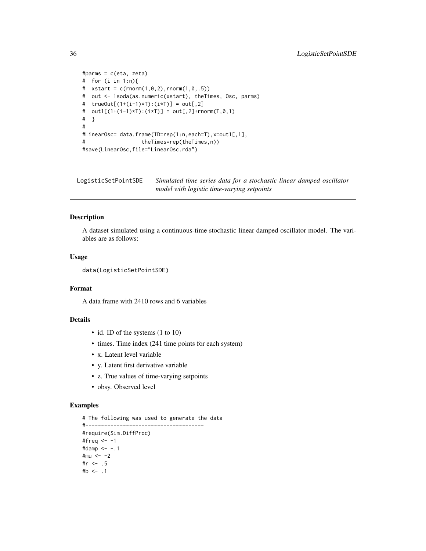```
#parms = c(eta, zeta)
# for (i in 1:n){
# xstart = c(rnorm(1, 0, 2), rnorm(1, 0, .5))# out <- lsoda(as.numeric(xstart), theTimes, Osc, parms)
# trueOut[(1+(i-1)*T):(i*T)] = out[,2]# out1[(1+(i-1)*T):(i*T)] = out[,2]+rnorm(T,0,1)
# }
#
#LinearOsc= data.frame(ID=rep(1:n,each=T),x=out1[,1],
# theTimes=rep(theTimes,n))
#save(LinearOsc,file="LinearOsc.rda")
```
LogisticSetPointSDE *Simulated time series data for a stochastic linear damped oscillator model with logistic time-varying setpoints*

# Description

A dataset simulated using a continuous-time stochastic linear damped oscillator model. The variables are as follows:

#### Usage

```
data(LogisticSetPointSDE)
```
#### Format

A data frame with 2410 rows and 6 variables

#### Details

- id. ID of the systems (1 to 10)
- times. Time index (241 time points for each system)
- x. Latent level variable
- y. Latent first derivative variable
- z. True values of time-varying setpoints
- obsy. Observed level

# Examples

```
# The following was used to generate the data
#--------------------------------------
#require(Sim.DiffProc)
#freq <-1#damp <- -1#mu <- -2#r < - 0.5#b <- .1
```
<span id="page-35-0"></span>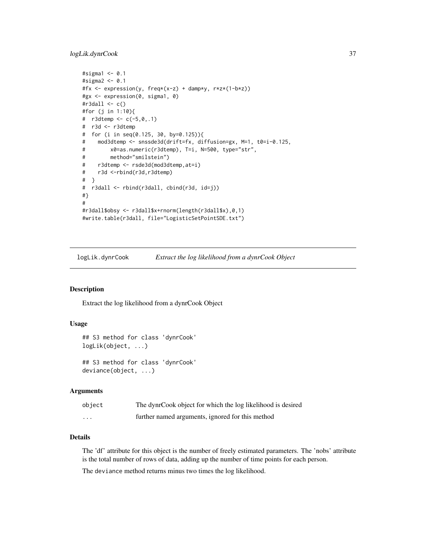# logLik.dynrCook 37

```
#sigma1 <- 0.1
#sigma2 <- 0.1
#fx <- expression(y, freq*(x-z) + damp*y, r*z*(1-b*z))
#gx <- expression(0, sigma1, 0)
#r3dall \leftarrow c()#for (j in 1:10){
# r3dtemp <- c(-5,0,.1)
# r3d <- r3dtemp
# for (i in seq(0.125, 30, by=0.125)){
# mod3dtemp <- snssde3d(drift=fx, diffusion=gx, M=1, t0=i-0.125,
# x0=as.numeric(r3dtemp), T=i, N=500, type="str",
# method="smilstein")
# r3dtemp <- rsde3d(mod3dtemp,at=i)
# r3d <-rbind(r3d,r3dtemp)
# }
# r3dall <- rbind(r3dall, cbind(r3d, id=j))
#}
#
#r3dall$obsy <- r3dall$x+rnorm(length(r3dall$x),0,1)
#write.table(r3dall, file="LogisticSetPointSDE.txt")
```
logLik.dynrCook *Extract the log likelihood from a dynrCook Object*

## Description

Extract the log likelihood from a dynrCook Object

#### Usage

```
## S3 method for class 'dynrCook'
logLik(object, ...)
```
## S3 method for class 'dynrCook' deviance(object, ...)

#### Arguments

| object   | The dynrCook object for which the log likelihood is desired |
|----------|-------------------------------------------------------------|
| $\cdots$ | further named arguments, ignored for this method            |

## Details

The 'df' attribute for this object is the number of freely estimated parameters. The 'nobs' attribute is the total number of rows of data, adding up the number of time points for each person.

The deviance method returns minus two times the log likelihood.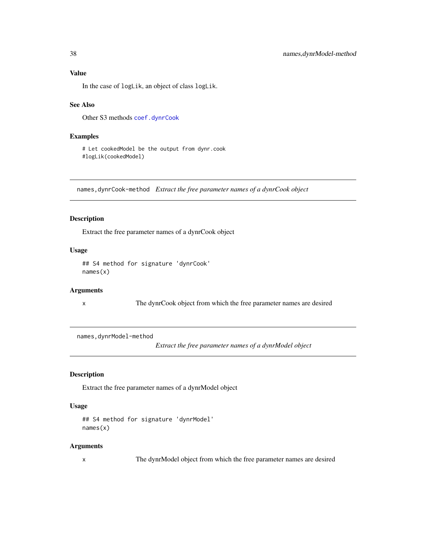In the case of logLik, an object of class logLik.

## See Also

Other S3 methods [coef.dynrCook](#page-8-0)

# Examples

# Let cookedModel be the output from dynr.cook #logLik(cookedModel)

names,dynrCook-method *Extract the free parameter names of a dynrCook object*

# Description

Extract the free parameter names of a dynrCook object

## Usage

## S4 method for signature 'dynrCook' names(x)

# Arguments

x The dynrCook object from which the free parameter names are desired

names,dynrModel-method

*Extract the free parameter names of a dynrModel object*

## Description

Extract the free parameter names of a dynrModel object

## Usage

```
## S4 method for signature 'dynrModel'
names(x)
```
## Arguments

x The dynrModel object from which the free parameter names are desired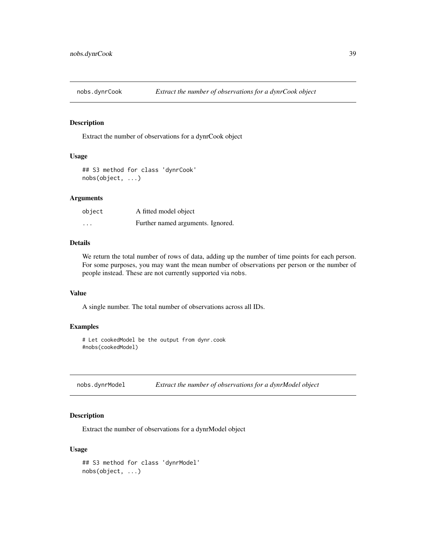# Description

Extract the number of observations for a dynrCook object

# Usage

## S3 method for class 'dynrCook' nobs(object, ...)

## Arguments

| object   | A fitted model object             |
|----------|-----------------------------------|
| $\cdots$ | Further named arguments. Ignored. |

## Details

We return the total number of rows of data, adding up the number of time points for each person. For some purposes, you may want the mean number of observations per person or the number of people instead. These are not currently supported via nobs.

## Value

A single number. The total number of observations across all IDs.

## Examples

# Let cookedModel be the output from dynr.cook #nobs(cookedModel)

nobs.dynrModel *Extract the number of observations for a dynrModel object*

# Description

Extract the number of observations for a dynrModel object

## Usage

```
## S3 method for class 'dynrModel'
nobs(object, ...)
```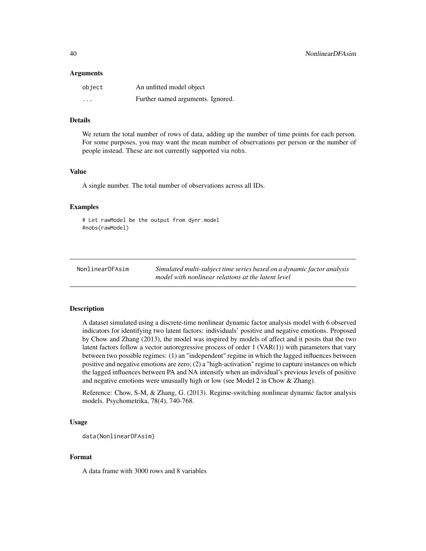#### Arguments

| object   | An unfitted model object          |
|----------|-----------------------------------|
| $\cdots$ | Further named arguments. Ignored. |

# Details

We return the total number of rows of data, adding up the number of time points for each person. For some purposes, you may want the mean number of observations per person or the number of people instead. These are not currently supported via nobs.

## Value

A single number. The total number of observations across all IDs.

#### Examples

```
# Let rawModel be the output from dynr.model
#nobs(rawModel)
```

| NonlinearDFAsim | Simulated multi-subject time series based on a dynamic factor analysis |
|-----------------|------------------------------------------------------------------------|
|                 | model with nonlinear relations at the latent level                     |

## Description

A dataset simulated using a discrete-time nonlinear dynamic factor analysis model with 6 observed indicators for identifying two latent factors: individuals' positive and negative emotions. Proposed by Chow and Zhang (2013), the model was inspired by models of affect and it posits that the two latent factors follow a vector autoregressive process of order  $1$  (VAR $(1)$ ) with parameters that vary between two possible regimes: (1) an "independent" regime in which the lagged influences between positive and negative emotions are zero; (2) a "high-activation" regime to capture instances on which the lagged influences between PA and NA intensify when an individual's previous levels of positive and negative emotions were unusually high or low (see Model 2 in Chow & Zhang).

Reference: Chow, S-M, & Zhang, G. (2013). Regime-switching nonlinear dynamic factor analysis models. Psychometrika, 78(4), 740-768.

#### Usage

```
data(NonlinearDFAsim)
```
## Format

A data frame with 3000 rows and 8 variables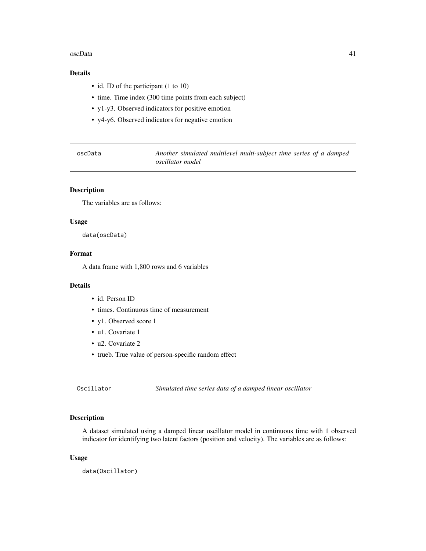#### oscData 41

# Details

- id. ID of the participant (1 to 10)
- time. Time index (300 time points from each subject)
- y1-y3. Observed indicators for positive emotion
- y4-y6. Observed indicators for negative emotion

| oscData | Another simulated multilevel multi-subject time series of a damped |  |  |  |
|---------|--------------------------------------------------------------------|--|--|--|
|         | <i>oscillator model</i>                                            |  |  |  |

# Description

The variables are as follows:

# Usage

data(oscData)

# Format

A data frame with 1,800 rows and 6 variables

## Details

- id. Person ID
- times. Continuous time of measurement
- y1. Observed score 1
- u1. Covariate 1
- u2. Covariate 2
- trueb. True value of person-specific random effect

Oscillator *Simulated time series data of a damped linear oscillator*

## Description

A dataset simulated using a damped linear oscillator model in continuous time with 1 observed indicator for identifying two latent factors (position and velocity). The variables are as follows:

#### Usage

data(Oscillator)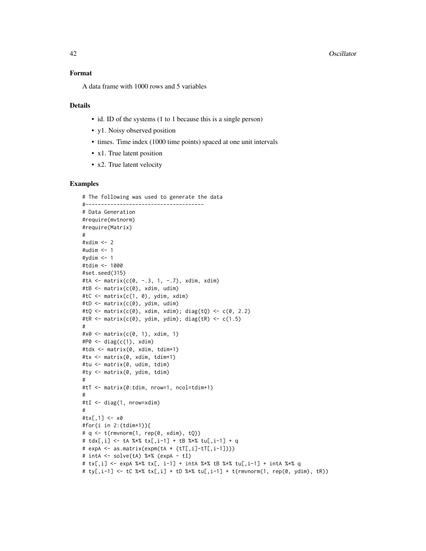#### 42 **Oscillator** Contact Contact Contact Contact Contact Contact Contact Contact Contact Contact Contact Contact Contact Contact Contact Contact Contact Contact Contact Contact Contact Contact Contact Contact Contact Contac

A data frame with 1000 rows and 5 variables

## Details

- id. ID of the systems (1 to 1 because this is a single person)
- y1. Noisy observed position
- times. Time index (1000 time points) spaced at one unit intervals
- x1. True latent position
- x2. True latent velocity

## Examples

```
# The following was used to generate the data
#--------------------------------------
# Data Generation
#require(mvtnorm)
#require(Matrix)
#
#xdim <- 2
#udim <- 1
#ydim <- 1
#tdim <- 1000
#set.seed(315)
#tA <- matrix(c(0, -3, 1, -7), xdim, xdim)
#tB <- matrix(c(0), xdim, udim)
#tC <- matrix(c(1, 0), ydim, xdim)
#tD <- matrix(c(0), ydim, udim)
#tQ <- matrix(c(0), xdim, xdim); diag(tQ) <- c(0, 2.2)
#tR <- matrix(c(0), ydim, ydim); diag(tR) <- c(1.5)#
#x@ \leq maxrix(c(0, 1), xdim, 1)#P0 <- diag(c(1), xdim)
#tdx <- matrix(0, xdim, tdim+1)
#tx <- matrix(0, xdim, tdim+1)
#tu <- matrix(0, udim, tdim)
#ty <- matrix(0, ydim, tdim)
#
#tT <- matrix(0:tdim, nrow=1, ncol=tdim+1)
#
#tI <- diag(1, nrow=xdim)
#
#tx[,1] <- x0
#for(i in 2:(tdim+1)){
# q <- t(rmvnorm(1, rep(0, xdim), tQ))
# tdx[,i] <- tA %*% tx[,i-1] + tB %*% tu[,i-1] + q
# expA <- as.matrix(expm(tA * (tT[,i]-tT[,i-1])))
# intA <- solve(tA) %*% (expA - tI)
# tx[,i] <- expA %*% tx[, i-1] + intA %*% tB %*% tu[,i-1] + intA %*% q
# ty[,i-1] <- tC %*% tx[,i] + tD %*% tu[,i-1] + t(rmvnorm(1, rep(0, ydim), tR))
```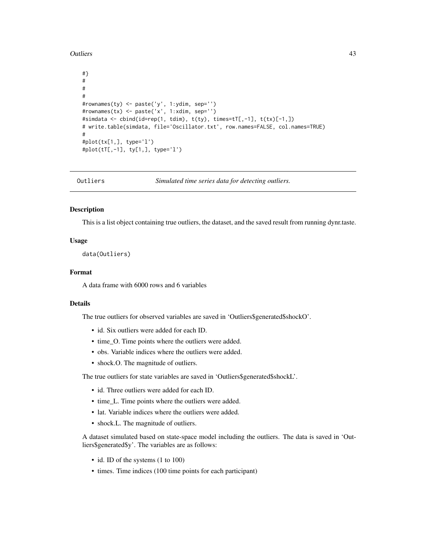Outliers **43** 

```
#}
#
#
#
#rownames(ty) <- paste('y', 1:ydim, sep='')
#rownames(tx) <- paste('x', 1:xdim, sep='')
#simdata <- cbind(id=rep(1, tdim), t(ty), times=tT[,-1], t(tx)[-1,])
# write.table(simdata, file='Oscillator.txt', row.names=FALSE, col.names=TRUE)
#
#plot(tx[1,], type='l')
#plot(tT[,-1], ty[1,], type='l')
```

```
Outliers Simulated time series data for detecting outliers.
```
#### Description

This is a list object containing true outliers, the dataset, and the saved result from running dynr.taste.

# Usage

data(Outliers)

## Format

A data frame with 6000 rows and 6 variables

#### Details

The true outliers for observed variables are saved in 'Outliers\$generated\$shockO'.

- id. Six outliers were added for each ID.
- time\_O. Time points where the outliers were added.
- obs. Variable indices where the outliers were added.
- shock.O. The magnitude of outliers.

The true outliers for state variables are saved in 'Outliers\$generated\$shockL'.

- id. Three outliers were added for each ID.
- time\_L. Time points where the outliers were added.
- lat. Variable indices where the outliers were added.
- shock.L. The magnitude of outliers.

A dataset simulated based on state-space model including the outliers. The data is saved in 'Outliers\$generated\$y'. The variables are as follows:

- id. ID of the systems (1 to 100)
- times. Time indices (100 time points for each participant)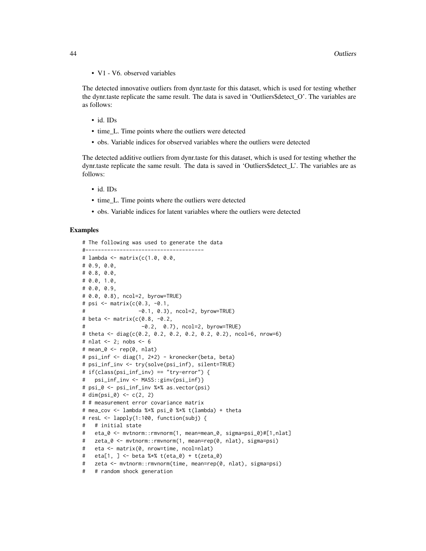• V1 - V6. observed variables

The detected innovative outliers from dynr.taste for this dataset, which is used for testing whether the dynr.taste replicate the same result. The data is saved in 'Outliers\$detect\_O'. The variables are as follows:

- id. IDs
- time L. Time points where the outliers were detected
- obs. Variable indices for observed variables where the outliers were detected

The detected additive outliers from dynr.taste for this dataset, which is used for testing whether the dynr.taste replicate the same result. The data is saved in 'Outliers\$detect\_L'. The variables are as follows:

- id. IDs
- time\_L. Time points where the outliers were detected
- obs. Variable indices for latent variables where the outliers were detected

### Examples

```
# The following was used to generate the data
#--------------------------------------
# lambda <- matrix(c(1.0, 0.0,
# 0.9, 0.0,
# 0.8, 0.0,
# 0.0, 1.0,
# 0.0, 0.9,
# 0.0, 0.8), ncol=2, byrow=TRUE)
# psi <- matrix(c(0.3, -0.1,
# -0.1, 0.3), ncol=2, byrow=TRUE)
# beta <- matrix(c(0.8, -0.2,
# -0.2, 0.7), ncol=2, byrow=TRUE)
# theta <- diag(c(0.2, 0.2, 0.2, 0.2, 0.2, 0.2), ncol=6, nrow=6)
# nlat <- 2; nobs <- 6
# mean_0 <- rep(0, nlat)
# psi_inf <- diag(1, 2*2) - kronecker(beta, beta)
# psi_inf_inv <- try(solve(psi_inf), silent=TRUE)
# if(class(psi_inf_inv) == "try-error") {
# psi_inf_inv <- MASS::ginv(psi_inf)}
# psi_0 <- psi_inf_inv %*% as.vector(psi)
# \dim(psi_0) <- c(2, 2)# # measurement error covariance matrix
# mea_cov <- lambda %*% psi_0 %*% t(lambda) + theta
# resL <- lapply(1:100, function(subj) {
# # initial state
# eta_0 <- mvtnorm::rmvnorm(1, mean=mean_0, sigma=psi_0)#[1,nlat]
# zeta_0 <- mvtnorm::rmvnorm(1, mean=rep(0, nlat), sigma=psi)
# eta <- matrix(0, nrow=time, ncol=nlat)
# eta[1, ] <- beta %*% t(eta_0) + t(zeta_0)
# zeta <- mvtnorm::rmvnorm(time, mean=rep(0, nlat), sigma=psi)
# # random shock generation
```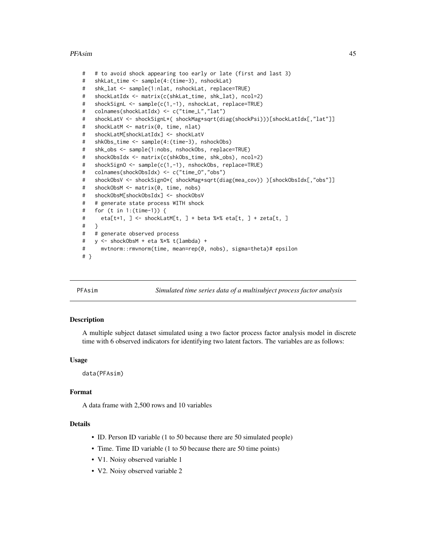#### PFAsim and the set of the set of the set of the set of the set of the set of the set of the set of the set of the set of the set of the set of the set of the set of the set of the set of the set of the set of the set of th

```
# # to avoid shock appearing too early or late (first and last 3)
# shkLat_time <- sample(4:(time-3), nshockLat)
# shk_lat <- sample(1:nlat, nshockLat, replace=TRUE)
# shockLatIdx <- matrix(c(shkLat_time, shk_lat), ncol=2)
# shockSignL <- sample(c(1,-1), nshockLat, replace=TRUE)
# colnames(shockLatIdx) <- c("time_L","lat")
# shockLatV <- shockSignL*( shockMag*sqrt(diag(shockPsi)))[shockLatIdx[,"lat"]]
# shockLatM <- matrix(0, time, nlat)
# shockLatM[shockLatIdx] <- shockLatV
# shkObs_time <- sample(4:(time-3), nshockObs)
# shk_obs <- sample(1:nobs, nshockObs, replace=TRUE)
# shockObsIdx <- matrix(c(shkObs_time, shk_obs), ncol=2)
# shockSignO <- sample(c(1,-1), nshockObs, replace=TRUE)
# colnames(shockObsIdx) <- c("time_O","obs")
# shockObsV <- shockSignO*( shockMag*sqrt(diag(mea_cov)) )[shockObsIdx[,"obs"]]
# shockObsM <- matrix(0, time, nobs)
# shockObsM[shockObsIdx] <- shockObsV
# # generate state process WITH shock
# for (t in 1:(time-1)) {
# eta[t+1, ] <- shockLatM[t, ] + beta %*% eta[t, ] + zeta[t, ]
# }
# # generate observed process
# y <- shockObsM + eta %*% t(lambda) +
# mvtnorm::rmvnorm(time, mean=rep(0, nobs), sigma=theta)# epsilon
# }
```
PFAsim *Simulated time series data of a multisubject process factor analysis*

## **Description**

A multiple subject dataset simulated using a two factor process factor analysis model in discrete time with 6 observed indicators for identifying two latent factors. The variables are as follows:

## Usage

data(PFAsim)

#### Format

A data frame with 2,500 rows and 10 variables

## Details

- ID. Person ID variable (1 to 50 because there are 50 simulated people)
- Time. Time ID variable (1 to 50 because there are 50 time points)
- V1. Noisy observed variable 1
- V2. Noisy observed variable 2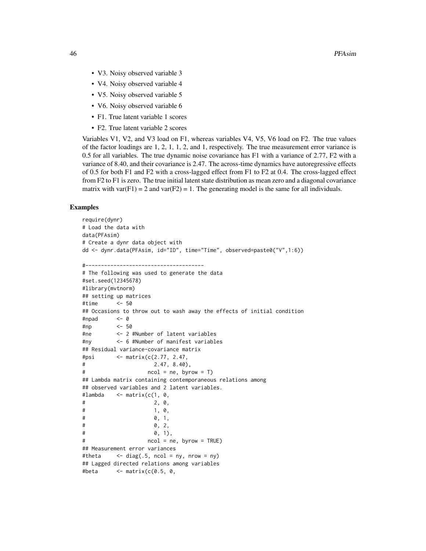- V3. Noisy observed variable 3
- V4. Noisy observed variable 4
- V5. Noisy observed variable 5
- V6. Noisy observed variable 6
- F1. True latent variable 1 scores
- F2. True latent variable 2 scores

Variables V1, V2, and V3 load on F1, whereas variables V4, V5, V6 load on F2. The true values of the factor loadings are 1, 2, 1, 1, 2, and 1, respectively. The true measurement error variance is 0.5 for all variables. The true dynamic noise covariance has F1 with a variance of 2.77, F2 with a variance of 8.40, and their covariance is 2.47. The across-time dynamics have autoregressive effects of 0.5 for both F1 and F2 with a cross-lagged effect from F1 to F2 at 0.4. The cross-lagged effect from F2 to F1 is zero. The true initial latent state distribution as mean zero and a diagonal covariance matrix with var( $F1$ ) = 2 and var( $F2$ ) = 1. The generating model is the same for all individuals.

## Examples

```
require(dynr)
# Load the data with
data(PFAsim)
# Create a dynr data object with
dd <- dynr.data(PFAsim, id="ID", time="Time", observed=paste0("V",1:6))
#--------------------------------------
# The following was used to generate the data
#set.seed(12345678)
#library(mvtnorm)
## setting up matrices
#time <- 50
## Occasions to throw out to wash away the effects of initial condition
#npad <- 0
#np <- 50
#ne <- 2 #Number of latent variables
#ny <- 6 #Number of manifest variables
## Residual variance-covariance matrix
#psi <- matrix(c(2.77, 2.47,
# 2.47, 8.40),
# ncol = ne, byrow = T)
## Lambda matrix containing contemporaneous relations among
## observed variables and 2 latent variables.
#lambda \leq- matrix(c(1, 0,
# 2, 0,# 1, 0,
# 0, 1,
# 0, 2,
# 0, 1),
# ncol = ne, byrow = TRUE)
## Measurement error variances
#theta <- diag(.5, ncol = ny, nrow = ny)
## Lagged directed relations among variables
#beta \leq matrix(c(0.5, 0,
```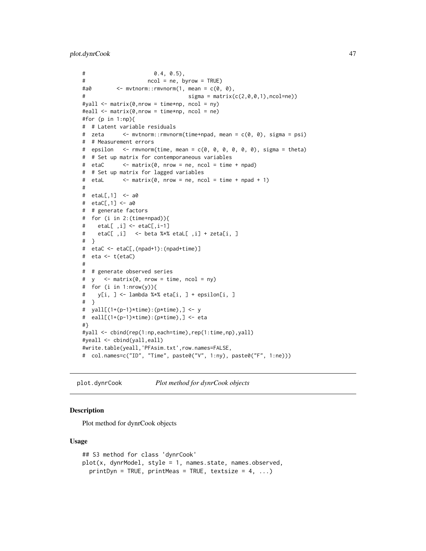```
# 0.4, 0.5),
# ncol = ne, byrow = TRUE)
\#a\emptyset <- mvtnorm::rmvnorm(1, mean = c(0, 0),
# signa = matrix(c(2,0,0,1),ncol=ne))#yall <- matrix(0,nrow = time*np, ncol = ny)
\#eall \leq matrix(0, nrow = time*np, ncol = ne)
#for (p in 1:np){
# # Latent variable residuals
# zeta <- mvtnorm::rmvnorm(time+npad, mean = c(0, 0), sigma = psi)
# # Measurement errors
# epsilon \leq - rmvnorm(time, mean = c(0, 0, 0, 0, 0, 0), sigma = theta)
# # Set up matrix for contemporaneous variables
# etaC <- matrix(0, nrow = ne, ncol = time + npad)
# # Set up matrix for lagged variables
# etaL \leq matrix(0, nrow = ne, ncol = time + npad + 1)
#
# etaL[,1] <- a0
# etaC[,1] <- a0
# # generate factors
# for (i in 2:(time+npad)){
# etaL[ ,i] <- etaC[,i-1]
# etaC[ ,i] <- beta %*% etaL[ ,i] + zeta[i, ]
# }
# etaC <- etaC[,(npad+1):(npad+time)]
# eta <- t(etaC)
#
# # generate observed series
# y <- matrix(0, nrow = time, ncol = ny)
# for (i in 1:nrow(y)){
# y[i, ] <- lambda %*% eta[i, ] + epsilon[i, ]
# }
# yall[(1+(p-1)*time):(p*time),] <- y
# eall[(1+(p-1)*time):(p*time),] <- eta
#}
#yall <- cbind(rep(1:np,each=time),rep(1:time,np),yall)
#yeall <- cbind(yall,eall)
#write.table(yeall,'PFAsim.txt',row.names=FALSE,
# col.names=c("ID", "Time", paste0("V", 1:ny), paste0("F", 1:ne)))
```
plot.dynrCook *Plot method for dynrCook objects*

#### **Description**

Plot method for dynrCook objects

## Usage

```
## S3 method for class 'dynrCook'
plot(x, dynrModel, style = 1, names.state, names.observed,
 printDyn = TRUE, printMeas = TRUE, textsize = 4, ...)
```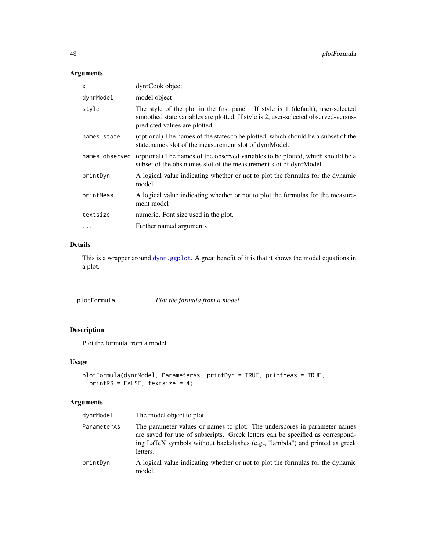# Arguments

| X              | dynrCook object                                                                                                                                                                                          |
|----------------|----------------------------------------------------------------------------------------------------------------------------------------------------------------------------------------------------------|
| dynrModel      | model object                                                                                                                                                                                             |
| style          | The style of the plot in the first panel. If style is 1 (default), user-selected<br>smoothed state variables are plotted. If style is 2, user-selected observed-versus-<br>predicted values are plotted. |
| names.state    | (optional) The names of the states to be plotted, which should be a subset of the<br>state names slot of the measurement slot of dynrModel.                                                              |
| names.observed | (optional) The names of the observed variables to be plotted, which should be a<br>subset of the obs.names slot of the measurement slot of dynrModel.                                                    |
| printDyn       | A logical value indicating whether or not to plot the formulas for the dynamic<br>model                                                                                                                  |
| printMeas      | A logical value indicating whether or not to plot the formulas for the measure-<br>ment model                                                                                                            |
| textsize       | numeric. Font size used in the plot.                                                                                                                                                                     |
| $\ddotsc$      | Further named arguments                                                                                                                                                                                  |
|                |                                                                                                                                                                                                          |

# Details

This is a wrapper around [dynr.ggplot](#page-16-0). A great benefit of it is that it shows the model equations in a plot.

<span id="page-47-0"></span>

| plotFormula | Plot the formula from a model |
|-------------|-------------------------------|
|             |                               |

# Description

Plot the formula from a model

# Usage

```
plotFormula(dynrModel, ParameterAs, printDyn = TRUE, printMeas = TRUE,
 printRS = FALSE, textsize = 4)
```
# Arguments

| dynrModel   | The model object to plot.                                                                                                                                                                                                                              |
|-------------|--------------------------------------------------------------------------------------------------------------------------------------------------------------------------------------------------------------------------------------------------------|
| ParameterAs | The parameter values or names to plot. The underscores in parameter names<br>are saved for use of subscripts. Greek letters can be specified as correspond-<br>ing LaTeX symbols without backslashes (e.g., "lambda") and printed as greek<br>letters. |
| printDyn    | A logical value indicating whether or not to plot the formulas for the dynamic<br>model.                                                                                                                                                               |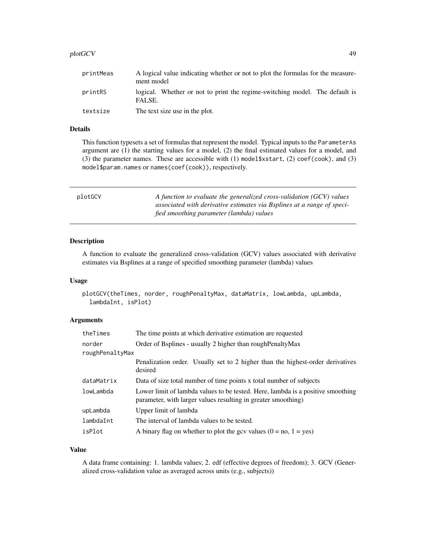#### plotGCV and the set of the set of the set of the set of the set of the set of the set of the set of the set of the set of the set of the set of the set of the set of the set of the set of the set of the set of the set of t

| printMeas | A logical value indicating whether or not to plot the formulas for the measure-<br>ment model |  |  |  |  |  |  |
|-----------|-----------------------------------------------------------------------------------------------|--|--|--|--|--|--|
| printRS   | logical. Whether or not to print the regime-switching model. The default is<br>FALSE.         |  |  |  |  |  |  |
| textsize  | The text size use in the plot.                                                                |  |  |  |  |  |  |

# Details

This function typesets a set of formulas that represent the model. Typical inputs to the ParameterAs argument are (1) the starting values for a model, (2) the final estimated values for a model, and (3) the parameter names. These are accessible with  $(1)$  model\$xstart,  $(2)$  coef(cook), and  $(3)$ model\$param.names or names(coef(cook)), respectively.

| plotGCV | A function to evaluate the generalized cross-validation (GCV) values<br>associated with derivative estimates via Bsplines at a range of speci-<br>fied smoothing parameter (lambda) values |
|---------|--------------------------------------------------------------------------------------------------------------------------------------------------------------------------------------------|
|         |                                                                                                                                                                                            |

# Description

A function to evaluate the generalized cross-validation (GCV) values associated with derivative estimates via Bsplines at a range of specified smoothing parameter (lambda) values

#### Usage

```
plotGCV(theTimes, norder, roughPenaltyMax, dataMatrix, lowLambda, upLambda,
  lambdaInt, isPlot)
```
#### Arguments

| theTimes        | The time points at which derivative estimation are requested                                                                                     |  |  |  |  |
|-----------------|--------------------------------------------------------------------------------------------------------------------------------------------------|--|--|--|--|
| norder          | Order of Bsplines - usually 2 higher than rough Penalty Max                                                                                      |  |  |  |  |
| roughPenaltyMax |                                                                                                                                                  |  |  |  |  |
|                 | Penalization order. Usually set to 2 higher than the highest-order derivatives<br>desired                                                        |  |  |  |  |
| dataMatrix      | Data of size total number of time points x total number of subjects                                                                              |  |  |  |  |
| lowLambda       | Lower limit of lambda values to be tested. Here, lambda is a positive smoothing<br>parameter, with larger values resulting in greater smoothing) |  |  |  |  |
| upLambda        | Upper limit of lambda                                                                                                                            |  |  |  |  |
| lambdaInt       | The interval of lambda values to be tested.                                                                                                      |  |  |  |  |
| isPlot          | A binary flag on whether to plot the gcv values $(0 = no, 1 = yes)$                                                                              |  |  |  |  |

## Value

A data frame containing: 1. lambda values; 2. edf (effective degrees of freedom); 3. GCV (Generalized cross-validation value as averaged across units (e.g., subjects))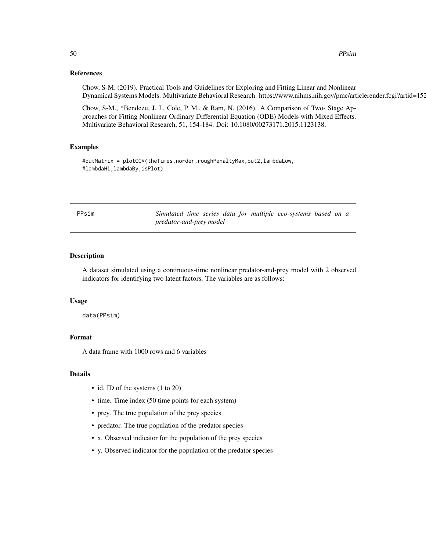## References

Chow, S-M. (2019). Practical Tools and Guidelines for Exploring and Fitting Linear and Nonlinear Dynamical Systems Models. Multivariate Behavioral Research. https://www.nihms.nih.gov/pmc/articlerender.fcgi?artid=152

Chow, S-M., \*Bendezu, J. J., Cole, P. M., & Ram, N. (2016). A Comparison of Two- Stage Approaches for Fitting Nonlinear Ordinary Differential Equation (ODE) Models with Mixed Effects. Multivariate Behavioral Research, 51, 154-184. Doi: 10.1080/00273171.2015.1123138.

## Examples

#outMatrix = plotGCV(theTimes,norder,roughPenaltyMax,out2,lambdaLow, #lambdaHi,lambdaBy,isPlot)

| PPsim |                                |  |  |  |  |  | Simulated time series data for multiple eco-systems based on a |  |  |
|-------|--------------------------------|--|--|--|--|--|----------------------------------------------------------------|--|--|
|       | <i>predator-and-prey model</i> |  |  |  |  |  |                                                                |  |  |

## Description

A dataset simulated using a continuous-time nonlinear predator-and-prey model with 2 observed indicators for identifying two latent factors. The variables are as follows:

#### Usage

data(PPsim)

## Format

A data frame with 1000 rows and 6 variables

#### Details

- id. ID of the systems (1 to 20)
- time. Time index (50 time points for each system)
- prey. The true population of the prey species
- predator. The true population of the predator species
- x. Observed indicator for the population of the prey species
- y. Observed indicator for the population of the predator species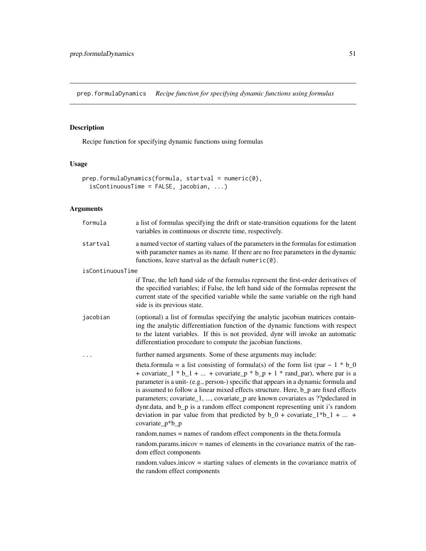<span id="page-50-0"></span>prep.formulaDynamics *Recipe function for specifying dynamic functions using formulas*

# Description

Recipe function for specifying dynamic functions using formulas

# Usage

```
prep.formulaDynamics(formula, startval = numeric(0),
  isContinuousTime = FALSE, jacobian, ...)
```
# Arguments

| formula          | a list of formulas specifying the drift or state-transition equations for the latent<br>variables in continuous or discrete time, respectively.                                                                                                                                                                                                                                                                                                                                                                                                                                                                         |
|------------------|-------------------------------------------------------------------------------------------------------------------------------------------------------------------------------------------------------------------------------------------------------------------------------------------------------------------------------------------------------------------------------------------------------------------------------------------------------------------------------------------------------------------------------------------------------------------------------------------------------------------------|
| startval         | a named vector of starting values of the parameters in the formulas for estimation<br>with parameter names as its name. If there are no free parameters in the dynamic<br>functions, leave startval as the default numeric $(0)$ .                                                                                                                                                                                                                                                                                                                                                                                      |
| isContinuousTime |                                                                                                                                                                                                                                                                                                                                                                                                                                                                                                                                                                                                                         |
|                  | if True, the left hand side of the formulas represent the first-order derivatives of<br>the specified variables; if False, the left hand side of the formulas represent the<br>current state of the specified variable while the same variable on the righ hand<br>side is its previous state.                                                                                                                                                                                                                                                                                                                          |
| jacobian         | (optional) a list of formulas specifying the analytic jacobian matrices contain-<br>ing the analytic differentiation function of the dynamic functions with respect<br>to the latent variables. If this is not provided, dynr will invoke an automatic<br>differentiation procedure to compute the jacobian functions.                                                                                                                                                                                                                                                                                                  |
|                  | further named arguments. Some of these arguments may include:                                                                                                                                                                                                                                                                                                                                                                                                                                                                                                                                                           |
|                  | theta.formula = a list consisting of formula(s) of the form list (par $\sim 1 * b_0$<br>+ covariate_1 * b_1 +  + covariate_p * b_p + 1 * rand_par), where par is a<br>parameter is a unit- (e.g., person-) specific that appears in a dynamic formula and<br>is assumed to follow a linear mixed effects structure. Here, b_p are fixed effects<br>parameters; covariate_1, , covariate_p are known covariates as ??pdeclared in<br>dynr.data, and b_p is a random effect component representing unit i's random<br>deviation in par value from that predicted by $b_0 + c$ covariate $1 * b_1 +  +$<br>covariate_p*b_p |
|                  | random.names = names of random effect components in the theta.formula                                                                                                                                                                                                                                                                                                                                                                                                                                                                                                                                                   |
|                  | random.params.inicov = names of elements in the covariance matrix of the ran-<br>dom effect components                                                                                                                                                                                                                                                                                                                                                                                                                                                                                                                  |
|                  | random values inicov = starting values of elements in the covariance matrix of<br>the random effect components                                                                                                                                                                                                                                                                                                                                                                                                                                                                                                          |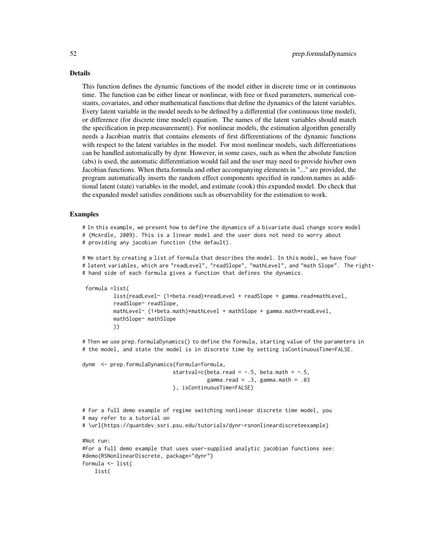## Details

This function defines the dynamic functions of the model either in discrete time or in continuous time. The function can be either linear or nonlinear, with free or fixed parameters, numerical constants, covariates, and other mathematical functions that define the dynamics of the latent variables. Every latent variable in the model needs to be defined by a differential (for continuous time model), or difference (for discrete time model) equation. The names of the latent variables should match the specification in prep.measurement(). For nonlinear models, the estimation algorithm generally needs a Jacobian matrix that contains elements of first differentiations of the dynamic functions with respect to the latent variables in the model. For most nonlinear models, such differentiations can be handled automatically by dynr. However, in some cases, such as when the absolute function (abs) is used, the automatic differentiation would fail and the user may need to provide his/her own Jacobian functions. When theta.formula and other accompanying elements in "..." are provided, the program automatically inserts the random effect components specified in random.names as additional latent (state) variables in the model, and estimate (cook) this expanded model. Do check that the expanded model satisfies conditions such as observability for the estimation to work.

#### Examples

# In this example, we present how to define the dynamics of a bivariate dual change score model # (McArdle, 2009). This is a linear model and the user does not need to worry about # providing any jacobian function (the default).

# We start by creating a list of formula that describes the model. In this model, we have four # latent variables, which are "readLevel", "readSlope", "mathLevel", and "math Slope". The right- # hand side of each formula gives a function that defines the dynamics.

```
formula =list(
        list(readLevel~ (1+beta.read)*readLevel + readSlope + gamma.read*mathLevel,
         readSlope~ readSlope,
        mathLevel~ (1+beta.math)*mathLevel + mathSlope + gamma.math*readLevel,
        mathSlope~ mathSlope
        ))
```
# Then we use prep.formulaDynamics() to define the formula, starting value of the parameters in # the model, and state the model is in discrete time by setting isContinuousTime=FALSE.

```
dynm <- prep.formulaDynamics(formula=formula,
                            startval=c(beta.read = -.5, beta.math = -.5,
                                       gamma.read = .3, gamma.math = .03), isContinuousTime=FALSE)
```
# For a full demo example of regime switching nonlinear discrete time model, you # may refer to a tutorial on # \url{https://quantdev.ssri.psu.edu/tutorials/dynr-rsnonlineardiscreteexample} #Not run: #For a full demo example that uses user-supplied analytic jacobian functions see: #demo(RSNonlinearDiscrete, package="dynr") formula <- list( list(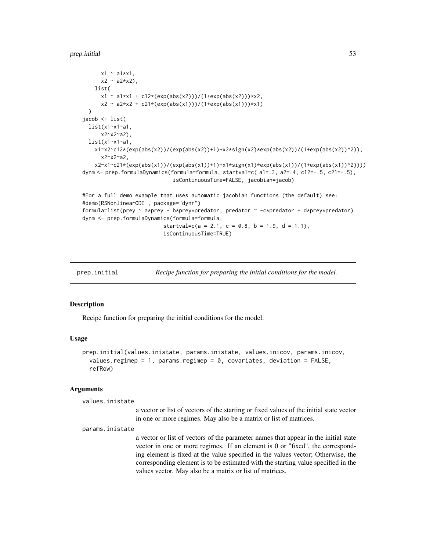#### prep.initial 53

```
x1 - a1*x1,
     x2 \sim a2*x2,
   list(
     x1 - a1*x1 + c12*(exp(abs(x2)))/(1+exp(abs(x2))) *x2,x2 ~ a2*x2 + c21*(exp(abs(x1)))/(1+exp(abs(x1)))*x1)
 \lambdajacob <- list(
 list(x1~x1~a1,
     x2~x2~a2),
 list(x1~x1~a1,
   x1~x2~c12*(exp(abs(x2))/(exp(abs(x2))+1)+x2*sign(x2)*exp(abs(x2))/(1+exp(abs(x2))^2)),
      x2~x2~a2,
   x2~x1~c21*(exp(abs(x1))/(exp(abs(x1))+1)+x1*sign(x1)*exp(abs(x1))/(1+exp(abs(x1))^2))))
dynm <- prep.formulaDynamics(formula=formula, startval=c( a1=.3, a2=.4, c12=-.5, c21=-.5),
                             isContinuousTime=FALSE, jacobian=jacob)
#For a full demo example that uses automatic jacobian functions (the default) see:
#demo(RSNonlinearODE , package="dynr")
formula=list(prey ~ a*prey - b*prey*predator, predator ~ -c*predator + d*prey*predator)
dynm <- prep.formulaDynamics(formula=formula,
                          startval=c(a = 2.1, c = 0.8, b = 1.9, d = 1.1),
                          isContinuousTime=TRUE)
```
prep.initial *Recipe function for preparing the initial conditions for the model.*

#### Description

Recipe function for preparing the initial conditions for the model.

#### Usage

```
prep.initial(values.inistate, params.inistate, values.inicov, params.inicov,
  values.regimep = 1, params.regimep = 0, covariates, deviation = FALSE,
  refRow)
```
#### Arguments

```
values.inistate
```
a vector or list of vectors of the starting or fixed values of the initial state vector in one or more regimes. May also be a matrix or list of matrices.

#### params.inistate

a vector or list of vectors of the parameter names that appear in the initial state vector in one or more regimes. If an element is 0 or "fixed", the corresponding element is fixed at the value specified in the values vector; Otherwise, the corresponding element is to be estimated with the starting value specified in the values vector. May also be a matrix or list of matrices.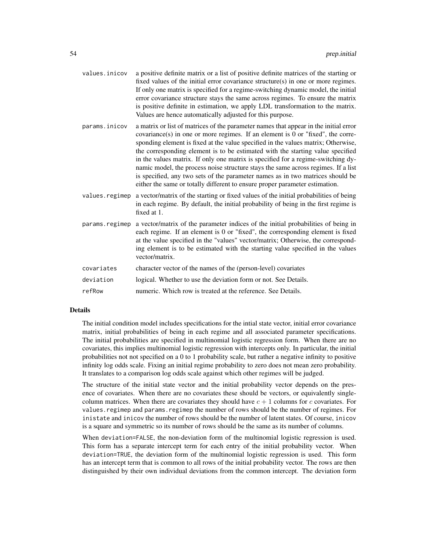| values.inicov  | a positive definite matrix or a list of positive definite matrices of the starting or<br>fixed values of the initial error covariance structure(s) in one or more regimes.<br>If only one matrix is specified for a regime-switching dynamic model, the initial<br>error covariance structure stays the same across regimes. To ensure the matrix<br>is positive definite in estimation, we apply LDL transformation to the matrix.<br>Values are hence automatically adjusted for this purpose.                                                                                                                                                                                           |
|----------------|--------------------------------------------------------------------------------------------------------------------------------------------------------------------------------------------------------------------------------------------------------------------------------------------------------------------------------------------------------------------------------------------------------------------------------------------------------------------------------------------------------------------------------------------------------------------------------------------------------------------------------------------------------------------------------------------|
| params.inicov  | a matrix or list of matrices of the parameter names that appear in the initial error<br>covariance(s) in one or more regimes. If an element is $0$ or "fixed", the corre-<br>sponding element is fixed at the value specified in the values matrix; Otherwise,<br>the corresponding element is to be estimated with the starting value specified<br>in the values matrix. If only one matrix is specified for a regime-switching dy-<br>namic model, the process noise structure stays the same across regimes. If a list<br>is specified, any two sets of the parameter names as in two matrices should be<br>either the same or totally different to ensure proper parameter estimation. |
|                | values regimep a vector/matrix of the starting or fixed values of the initial probabilities of being<br>in each regime. By default, the initial probability of being in the first regime is<br>fixed at 1.                                                                                                                                                                                                                                                                                                                                                                                                                                                                                 |
| params.regimep | a vector/matrix of the parameter indices of the initial probabilities of being in<br>each regime. If an element is 0 or "fixed", the corresponding element is fixed<br>at the value specified in the "values" vector/matrix; Otherwise, the correspond-<br>ing element is to be estimated with the starting value specified in the values<br>vector/matrix.                                                                                                                                                                                                                                                                                                                                |
| covariates     | character vector of the names of the (person-level) covariates                                                                                                                                                                                                                                                                                                                                                                                                                                                                                                                                                                                                                             |
| deviation      | logical. Whether to use the deviation form or not. See Details.                                                                                                                                                                                                                                                                                                                                                                                                                                                                                                                                                                                                                            |
| refRow         | numeric. Which row is treated at the reference. See Details.                                                                                                                                                                                                                                                                                                                                                                                                                                                                                                                                                                                                                               |

## Details

The initial condition model includes specifications for the intial state vector, initial error covariance matrix, initial probabilities of being in each regime and all associated parameter specifications. The initial probabilities are specified in multinomial logistic regression form. When there are no covariates, this implies multinomial logistic regression with intercepts only. In particular, the initial probabilities not not specified on a 0 to 1 probability scale, but rather a negative infinity to positive infinity log odds scale. Fixing an initial regime probability to zero does not mean zero probability. It translates to a comparison log odds scale against which other regimes will be judged.

The structure of the initial state vector and the initial probability vector depends on the presence of covariates. When there are no covariates these should be vectors, or equivalently singlecolumn matrices. When there are covariates they should have  $c + 1$  columns for c covariates. For values.regimep and params.regimep the number of rows should be the number of regimes. For inistate and inicov the number of rows should be the number of latent states. Of course, inicov is a square and symmetric so its number of rows should be the same as its number of columns.

When deviation=FALSE, the non-deviation form of the multinomial logistic regression is used. This form has a separate intercept term for each entry of the initial probability vector. When deviation=TRUE, the deviation form of the multinomial logistic regression is used. This form has an intercept term that is common to all rows of the initial probability vector. The rows are then distinguished by their own individual deviations from the common intercept. The deviation form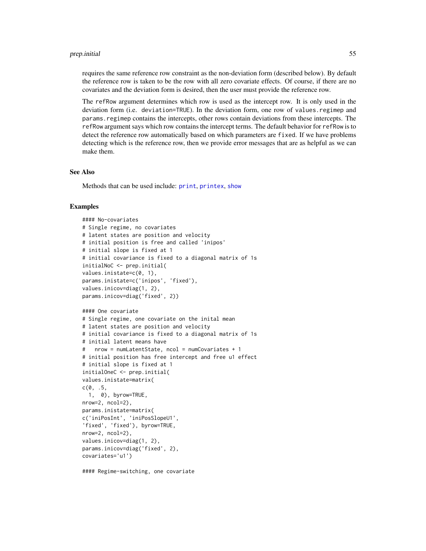#### prep.initial 55

requires the same reference row constraint as the non-deviation form (described below). By default the reference row is taken to be the row with all zero covariate effects. Of course, if there are no covariates and the deviation form is desired, then the user must provide the reference row.

The refRow argument determines which row is used as the intercept row. It is only used in the deviation form (i.e. deviation=TRUE). In the deviation form, one row of values.regimep and params. regimep contains the intercepts, other rows contain deviations from these intercepts. The refRow argument says which row contains the intercept terms. The default behavior for refRow is to detect the reference row automatically based on which parameters are fixed. If we have problems detecting which is the reference row, then we provide error messages that are as helpful as we can make them.

#### See Also

Methods that can be used include: [print](#page-0-0), [printex](#page-64-0), [show](#page-0-0)

#### Examples

```
#### No-covariates
# Single regime, no covariates
# latent states are position and velocity
# initial position is free and called 'inipos'
# initial slope is fixed at 1
# initial covariance is fixed to a diagonal matrix of 1s
initialNoC <- prep.initial(
values.inistate=c(0, 1),
params.inistate=c('inipos', 'fixed'),
values.inicov=diag(1, 2),
params.inicov=diag('fixed', 2))
#### One covariate
# Single regime, one covariate on the inital mean
# latent states are position and velocity
# initial covariance is fixed to a diagonal matrix of 1s
# initial latent means have
# nrow = numLatentState, ncol = numCovariates + 1
# initial position has free intercept and free u1 effect
# initial slope is fixed at 1
initialOneC <- prep.initial(
values.inistate=matrix(
c(\emptyset, .5, )1, 0), byrow=TRUE,
nrow=2, ncol=2),
params.inistate=matrix(
c('iniPosInt', 'iniPosSlopeU1',
'fixed', 'fixed'), byrow=TRUE,
nrow=2, ncol=2),
values.inicov=diag(1, 2),
params.inicov=diag('fixed', 2),
covariates='u1')
```
#### Regime-switching, one covariate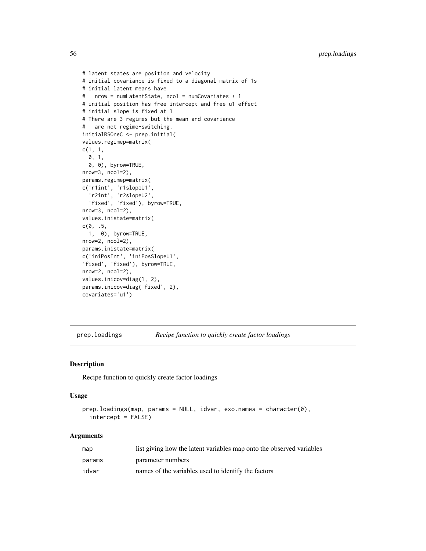```
# latent states are position and velocity
# initial covariance is fixed to a diagonal matrix of 1s
# initial latent means have
# nrow = numLatentState, ncol = numCovariates + 1
# initial position has free intercept and free u1 effect
# initial slope is fixed at 1
# There are 3 regimes but the mean and covariance
# are not regime-switching.
initialRSOneC <- prep.initial(
values.regimep=matrix(
c(1, 1,
  0, 1,
  0, 0), byrow=TRUE,
nrow=3, ncol=2),
params.regimep=matrix(
c('r1int', 'r1slopeU1',
  'r2int', 'r2slopeU2',
  'fixed', 'fixed'), byrow=TRUE,
nrow=3, ncol=2),
values.inistate=matrix(
c(0, .5,
  1, 0), byrow=TRUE,
nrow=2, ncol=2),
params.inistate=matrix(
c('iniPosInt', 'iniPosSlopeU1',
'fixed', 'fixed'), byrow=TRUE,
nrow=2, ncol=2),
values.inicov=diag(1, 2),
params.inicov=diag('fixed', 2),
covariates='u1')
```
prep.loadings *Recipe function to quickly create factor loadings*

## Description

Recipe function to quickly create factor loadings

#### Usage

```
prep.loadings(map, params = NULL, idvar, exo.names = character(0),
  intercept = FALSE)
```
## Arguments

| map    | list giving how the latent variables map onto the observed variables |
|--------|----------------------------------------------------------------------|
| params | parameter numbers                                                    |
| idvar  | names of the variables used to identify the factors                  |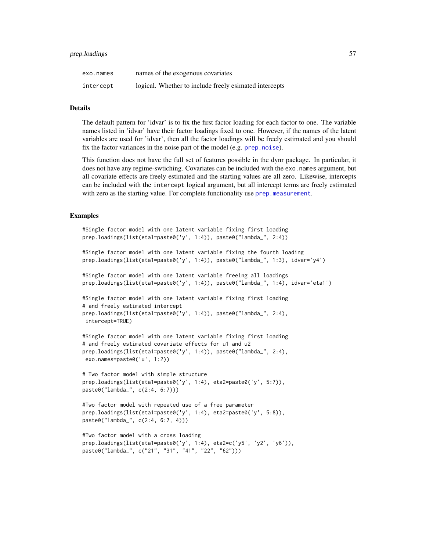## prep.loadings 57

| exo.names | names of the exogenous covariates                      |
|-----------|--------------------------------------------------------|
| intercept | logical. Whether to include freely esimated intercepts |

# Details

The default pattern for 'idvar' is to fix the first factor loading for each factor to one. The variable names listed in 'idvar' have their factor loadings fixed to one. However, if the names of the latent variables are used for 'idvar', then all the factor loadings will be freely estimated and you should fix the factor variances in the noise part of the model (e.g. [prep.noise](#page-59-0)).

This function does not have the full set of features possible in the dynr package. In particular, it does not have any regime-swtiching. Covariates can be included with the exo.names argument, but all covariate effects are freely estimated and the starting values are all zero. Likewise, intercepts can be included with the intercept logical argument, but all intercept terms are freely estimated with zero as the starting value. For complete functionality use [prep.measurement](#page-58-0).

#### Examples

```
#Single factor model with one latent variable fixing first loading
prep.loadings(list(eta1=paste0('y', 1:4)), paste0("lambda_", 2:4))
#Single factor model with one latent variable fixing the fourth loading
prep.loadings(list(eta1=paste0('y', 1:4)), paste0("lambda_", 1:3), idvar='y4')
#Single factor model with one latent variable freeing all loadings
prep.loadings(list(eta1=paste0('y', 1:4)), paste0("lambda_", 1:4), idvar='eta1')
#Single factor model with one latent variable fixing first loading
# and freely estimated intercept
prep.loadings(list(eta1=paste0('y', 1:4)), paste0("lambda_", 2:4),
intercept=TRUE)
#Single factor model with one latent variable fixing first loading
# and freely estimated covariate effects for u1 and u2
prep.loadings(list(eta1=paste0('y', 1:4)), paste0("lambda_", 2:4),
exo.names=paste0('u', 1:2))
# Two factor model with simple structure
prep.loadings(list(eta1=paste0('y', 1:4), eta2=paste0('y', 5:7)),
paste0("lambda_", c(2:4, 6:7)))
#Two factor model with repeated use of a free parameter
prep.loadings(list(eta1=paste0('y', 1:4), eta2=paste0('y', 5:8)),
```

```
#Two factor model with a cross loading
prep.loadings(list(eta1=paste0('y', 1:4), eta2=c('y5', 'y2', 'y6')),
paste0("lambda_", c("21", "31", "41", "22", "62")))
```
paste0("lambda\_", c(2:4, 6:7, 4)))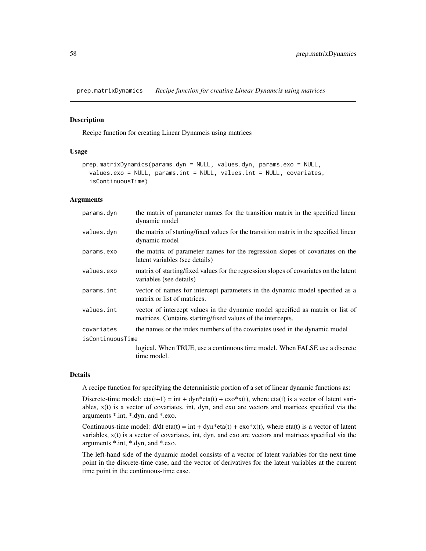prep.matrixDynamics *Recipe function for creating Linear Dynamcis using matrices*

## Description

Recipe function for creating Linear Dynamcis using matrices

## Usage

```
prep.matrixDynamics(params.dyn = NULL, values.dyn, params.exo = NULL,
  values.exo = NULL, params.int = NULL, values.int = NULL, covariates,
  isContinuousTime)
```
## Arguments

| params.dyn       | the matrix of parameter names for the transition matrix in the specified linear<br>dynamic model                                              |
|------------------|-----------------------------------------------------------------------------------------------------------------------------------------------|
| values.dyn       | the matrix of starting/fixed values for the transition matrix in the specified linear<br>dynamic model                                        |
| params.exo       | the matrix of parameter names for the regression slopes of covariates on the<br>latent variables (see details)                                |
| values.exo       | matrix of starting/fixed values for the regression slopes of covariates on the latent<br>variables (see details)                              |
| params.int       | vector of names for intercept parameters in the dynamic model specified as a<br>matrix or list of matrices.                                   |
| values.int       | vector of intercept values in the dynamic model specified as matrix or list of<br>matrices. Contains starting/fixed values of the intercepts. |
| covariates       | the names or the index numbers of the covariates used in the dynamic model                                                                    |
| isContinuousTime |                                                                                                                                               |
|                  | logical. When TRUE, use a continuous time model. When FALSE use a discrete<br>time model.                                                     |

## Details

A recipe function for specifying the deterministic portion of a set of linear dynamic functions as:

Discrete-time model:  $eta(t+1) = int + dyn*eta(t) + exo*xt(t)$ , where  $eta(t)$  is a vector of latent variables, x(t) is a vector of covariates, int, dyn, and exo are vectors and matrices specified via the arguments \*.int, \*.dyn, and \*.exo.

Continuous-time model:  $d/dt \text{ eta}(t) = \text{int} + dyn^* \text{eta}(t) + \text{exo}^* \text{x}(t)$ , where eta(t) is a vector of latent variables, x(t) is a vector of covariates, int, dyn, and exo are vectors and matrices specified via the arguments \*.int, \*.dyn, and \*.exo.

The left-hand side of the dynamic model consists of a vector of latent variables for the next time point in the discrete-time case, and the vector of derivatives for the latent variables at the current time point in the continuous-time case.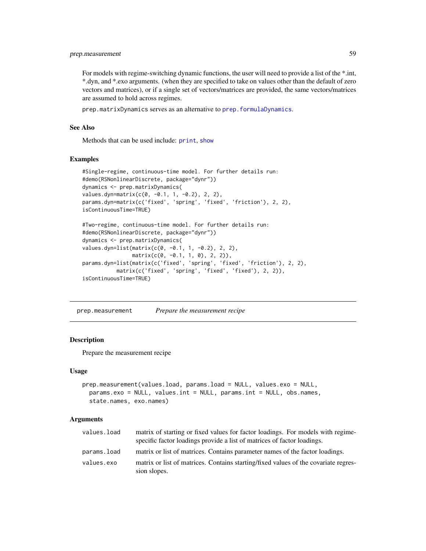For models with regime-switching dynamic functions, the user will need to provide a list of the \*.int, \*.dyn, and \*.exo arguments. (when they are specified to take on values other than the default of zero vectors and matrices), or if a single set of vectors/matrices are provided, the same vectors/matrices are assumed to hold across regimes.

prep.matrixDynamics serves as an alternative to [prep.formulaDynamics](#page-50-0).

## See Also

Methods that can be used include: [print](#page-0-0), [show](#page-0-0)

## Examples

```
#Single-regime, continuous-time model. For further details run:
#demo(RSNonlinearDiscrete, package="dynr"))
dynamics <- prep.matrixDynamics(
values.dyn=matrix(c(0, -0.1, 1, -0.2), 2, 2),
params.dyn=matrix(c('fixed', 'spring', 'fixed', 'friction'), 2, 2),
isContinuousTime=TRUE)
#Two-regime, continuous-time model. For further details run:
#demo(RSNonlinearDiscrete, package="dynr"))
dynamics <- prep.matrixDynamics(
values.dyn=list(matrix(c(0, -0.1, 1, -0.2), 2, 2),
               matrix(c(0, -0.1, 1, 0), 2, 2)),params.dyn=list(matrix(c('fixed', 'spring', 'fixed', 'friction'), 2, 2),
          matrix(c('fixed', 'spring', 'fixed', 'fixed'), 2, 2)),
isContinuousTime=TRUE)
```
<span id="page-58-0"></span>prep.measurement *Prepare the measurement recipe*

## Description

Prepare the measurement recipe

#### Usage

```
prep.measurement(values.load, params.load = NULL, values.exo = NULL,
  params.exo = NULL, values.int = NULL, params.int = NULL, obs.names,
  state.names, exo.names)
```
### Arguments

| values.load | matrix of starting or fixed values for factor loadings. For models with regime-<br>specific factor loadings provide a list of matrices of factor loadings. |
|-------------|------------------------------------------------------------------------------------------------------------------------------------------------------------|
| params.load | matrix or list of matrices. Contains parameter names of the factor loadings.                                                                               |
| values.exo  | matrix or list of matrices. Contains starting/fixed values of the covariate regres-<br>sion slopes.                                                        |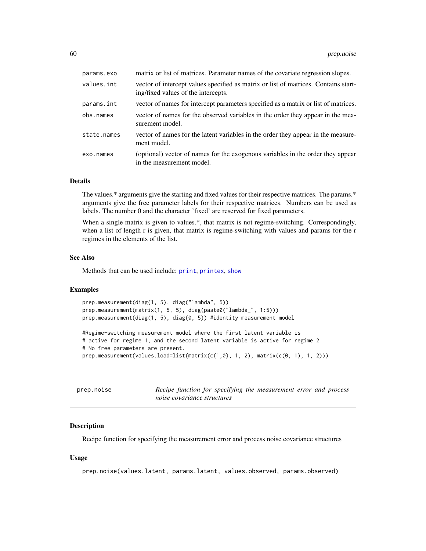| params.exo  | matrix or list of matrices. Parameter names of the covariate regression slopes.                                            |
|-------------|----------------------------------------------------------------------------------------------------------------------------|
| values.int  | vector of intercept values specified as matrix or list of matrices. Contains start-<br>ing/fixed values of the intercepts. |
| params.int  | vector of names for intercept parameters specified as a matrix or list of matrices.                                        |
| obs.names   | vector of names for the observed variables in the order they appear in the mea-<br>surement model.                         |
| state.names | vector of names for the latent variables in the order they appear in the measure-<br>ment model.                           |
| exo.names   | (optional) vector of names for the exogenous variables in the order they appear<br>in the measurement model.               |

## Details

The values.\* arguments give the starting and fixed values for their respective matrices. The params.\* arguments give the free parameter labels for their respective matrices. Numbers can be used as labels. The number 0 and the character 'fixed' are reserved for fixed parameters.

When a single matrix is given to values.<sup>\*</sup>, that matrix is not regime-switching. Correspondingly, when a list of length r is given, that matrix is regime-switching with values and params for the r regimes in the elements of the list.

## See Also

Methods that can be used include: [print](#page-0-0), [printex](#page-64-0), [show](#page-0-0)

#### Examples

```
prep.measurement(diag(1, 5), diag("lambda", 5))
prep.measurement(matrix(1, 5, 5), diag(paste0("lambda_", 1:5)))
prep.measurement(diag(1, 5), diag(0, 5)) #identity measurement model
#Regime-switching measurement model where the first latent variable is
# active for regime 1, and the second latent variable is active for regime 2
# No free parameters are present.
prep.measurement(values.load=list(matrix(c(1,0), 1, 2), matrix(c(0, 1), 1, 2)))
```
<span id="page-59-0"></span>

| prep.noise | Recipe function for specifying the measurement error and process |  |  |  |  |
|------------|------------------------------------------------------------------|--|--|--|--|
|            | noise covariance structures                                      |  |  |  |  |

#### Description

Recipe function for specifying the measurement error and process noise covariance structures

## Usage

prep.noise(values.latent, params.latent, values.observed, params.observed)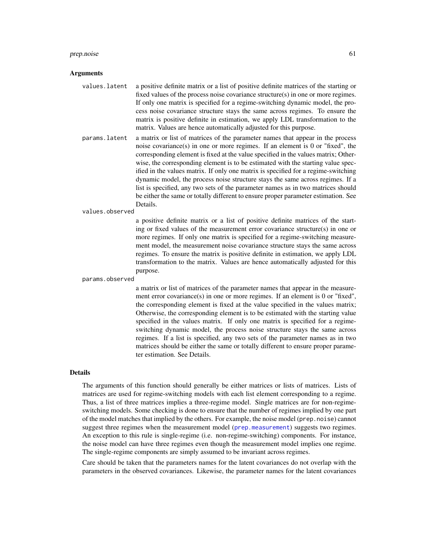#### prep.noise 61

#### Arguments

- values.latent a positive definite matrix or a list of positive definite matrices of the starting or fixed values of the process noise covariance structure(s) in one or more regimes. If only one matrix is specified for a regime-switching dynamic model, the process noise covariance structure stays the same across regimes. To ensure the matrix is positive definite in estimation, we apply LDL transformation to the matrix. Values are hence automatically adjusted for this purpose.
- params.latent a matrix or list of matrices of the parameter names that appear in the process noise covariance(s) in one or more regimes. If an element is 0 or "fixed", the corresponding element is fixed at the value specified in the values matrix; Otherwise, the corresponding element is to be estimated with the starting value specified in the values matrix. If only one matrix is specified for a regime-switching dynamic model, the process noise structure stays the same across regimes. If a list is specified, any two sets of the parameter names as in two matrices should be either the same or totally different to ensure proper parameter estimation. See Details.

values.observed

a positive definite matrix or a list of positive definite matrices of the starting or fixed values of the measurement error covariance structure(s) in one or more regimes. If only one matrix is specified for a regime-switching measurement model, the measurement noise covariance structure stays the same across regimes. To ensure the matrix is positive definite in estimation, we apply LDL transformation to the matrix. Values are hence automatically adjusted for this purpose.

params.observed

a matrix or list of matrices of the parameter names that appear in the measurement error covariance(s) in one or more regimes. If an element is 0 or "fixed", the corresponding element is fixed at the value specified in the values matrix; Otherwise, the corresponding element is to be estimated with the starting value specified in the values matrix. If only one matrix is specified for a regimeswitching dynamic model, the process noise structure stays the same across regimes. If a list is specified, any two sets of the parameter names as in two matrices should be either the same or totally different to ensure proper parameter estimation. See Details.

#### Details

The arguments of this function should generally be either matrices or lists of matrices. Lists of matrices are used for regime-switching models with each list element corresponding to a regime. Thus, a list of three matrices implies a three-regime model. Single matrices are for non-regimeswitching models. Some checking is done to ensure that the number of regimes implied by one part of the model matches that implied by the others. For example, the noise model (prep.noise) cannot suggest three regimes when the measurement model ([prep.measurement](#page-58-0)) suggests two regimes. An exception to this rule is single-regime (i.e. non-regime-switching) components. For instance, the noise model can have three regimes even though the measurement model implies one regime. The single-regime components are simply assumed to be invariant across regimes.

Care should be taken that the parameters names for the latent covariances do not overlap with the parameters in the observed covariances. Likewise, the parameter names for the latent covariances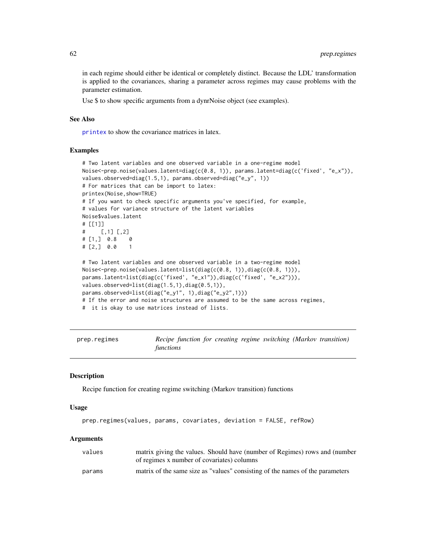in each regime should either be identical or completely distinct. Because the LDL' transformation is applied to the covariances, sharing a parameter across regimes may cause problems with the parameter estimation.

Use \$ to show specific arguments from a dynrNoise object (see examples).

## See Also

[printex](#page-64-0) to show the covariance matrices in latex.

## Examples

```
# Two latent variables and one observed variable in a one-regime model
Noise<-prep.noise(values.latent=diag(c(0.8, 1)), params.latent=diag(c('fixed', "e_x")),
values.observed=diag(1.5,1), params.observed=diag("e_y", 1))
# For matrices that can be import to latex:
printex(Noise,show=TRUE)
# If you want to check specific arguments you've specified, for example,
# values for variance structure of the latent variables
Noise$values.latent
# [[1]]
# [,1] [,2]
\# [1,] 0.8 0
\# [2,] 0.0 1
# Two latent variables and one observed variable in a two-regime model
Noise\langle-prep.noise(values.latent=list(diag(c(0.8, 1)),diag(c(0.8, 1))),
params.latent=list(diag(c('fixed', "e_x1")),diag(c('fixed', "e_x2"))),
values.observed=list(diag(1.5,1),diag(0.5,1)),
params.observed=list(diag("e_y1", 1),diag("e_y2",1)))
# If the error and noise structures are assumed to be the same across regimes,
# it is okay to use matrices instead of lists.
```
prep.regimes *Recipe function for creating regime switching (Markov transition) functions*

#### **Description**

Recipe function for creating regime switching (Markov transition) functions

#### Usage

```
prep.regimes(values, params, covariates, deviation = FALSE, refRow)
```
#### Arguments

| values | matrix giving the values. Should have (number of Regimes) rows and (number    |
|--------|-------------------------------------------------------------------------------|
|        | of regimes x number of covariates) columns                                    |
| params | matrix of the same size as "values" consisting of the names of the parameters |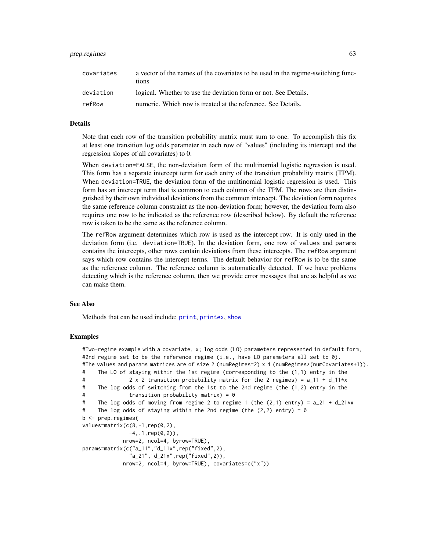## prep.regimes 63

| covariates | a vector of the names of the covariates to be used in the regime-switching func-<br>tions |
|------------|-------------------------------------------------------------------------------------------|
| deviation  | logical. Whether to use the deviation form or not. See Details.                           |
| refRow     | numeric. Which row is treated at the reference. See Details.                              |

## Details

Note that each row of the transition probability matrix must sum to one. To accomplish this fix at least one transition log odds parameter in each row of "values" (including its intercept and the regression slopes of all covariates) to 0.

When deviation=FALSE, the non-deviation form of the multinomial logistic regression is used. This form has a separate intercept term for each entry of the transition probability matrix (TPM). When deviation=TRUE, the deviation form of the multinomial logistic regression is used. This form has an intercept term that is common to each column of the TPM. The rows are then distinguished by their own individual deviations from the common intercept. The deviation form requires the same reference column constraint as the non-deviation form; however, the deviation form also requires one row to be indicated as the reference row (described below). By default the reference row is taken to be the same as the reference column.

The refRow argument determines which row is used as the intercept row. It is only used in the deviation form (i.e. deviation=TRUE). In the deviation form, one row of values and params contains the intercepts, other rows contain deviations from these intercepts. The refRow argument says which row contains the intercept terms. The default behavior for refRow is to be the same as the reference column. The reference column is automatically detected. If we have problems detecting which is the reference column, then we provide error messages that are as helpful as we can make them.

#### See Also

Methods that can be used include: [print](#page-0-0), [printex](#page-64-0), [show](#page-0-0)

## Examples

```
#Two-regime example with a covariate, x; log odds (LO) parameters represented in default form,
#2nd regime set to be the reference regime (i.e., have LO parameters all set to 0).
#The values and params matrices are of size 2 (numRegimes=2) x 4 (numRegimes*(numCovariates+1)).
# The LO of staying within the 1st regime (corresponding to the (1,1) entry in the
# 2 x 2 transition probability matrix for the 2 regimes) = a_11 + d_11*x
# The log odds of switching from the 1st to the 2nd regime (the (1,2) entry in the
# transition probability matrix) = 0
# The log odds of moving from regime 2 to regime 1 (the (2,1) entry) = a_21 + d_21*x
# The log odds of staying within the 2nd regime (the (2,2) entry) = 0
b <- prep.regimes(
values=matrix(c(8,-1, rep(0,2),-4, .1, rep(0,2)),
            nrow=2, ncol=4, byrow=TRUE),
params=matrix(c("a_11","d_11x",rep("fixed",2),
              "a_21","d_21x",rep("fixed",2)),
            nrow=2, ncol=4, byrow=TRUE), covariates=c("x"))
```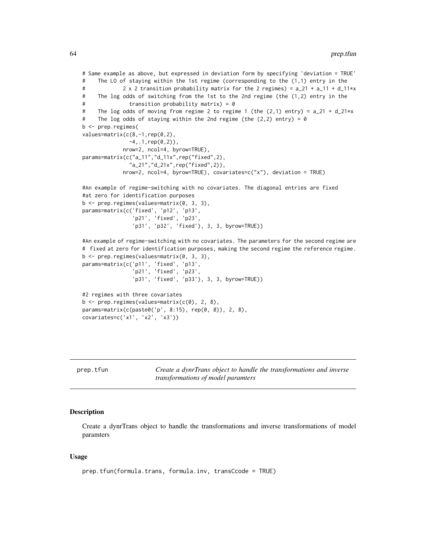```
# Same example as above, but expressed in deviation form by specifying 'deviation = TRUE'
# The LO of staying within the 1st regime (corresponding to the (1,1) entry in the
# 2 x 2 transition probability matrix for the 2 regimes) = a_21 + a_11 + d_11*x
# The log odds of switching from the 1st to the 2nd regime (the (1,2) entry in the
# transition probability matrix) = 0
# The log odds of moving from regime 2 to regime 1 (the (2,1) entry) = a_21 + d_21*x
# The log odds of staying within the 2nd regime (the (2,2) entry) = 0
b <- prep.regimes(
values=matrix(c(8,-1, rep(0,2),-4, .1, rep(0,2)),
            nrow=2, ncol=4, byrow=TRUE),
params=matrix(c("a_11","d_11x",rep("fixed",2),
               "a_21","d_21x",rep("fixed",2)),
            nrow=2, ncol=4, byrow=TRUE), covariates=c("x"), deviation = TRUE)
#An example of regime-switching with no covariates. The diagonal entries are fixed
#at zero for identification purposes
b \leq prep. regimes(values=matrix(0, 3, 3),
params=matrix(c('fixed', 'p12', 'p13',
                'p21', 'fixed', 'p23',
                'p31', 'p32', 'fixed'), 3, 3, byrow=TRUE))
#An example of regime-switching with no covariates. The parameters for the second regime are
# fixed at zero for identification purposes, making the second regime the reference regime.
b \leq prep. regimes(values=matrix(0, 3, 3),
params=matrix(c('p11', 'fixed', 'p13',
                'p21', 'fixed', 'p23',
                'p31', 'fixed', 'p33'), 3, 3, byrow=TRUE))
#2 regimes with three covariates
b \leq prep. regimes(values=matrix(c(0), 2, 8),
params=matrix(c(paste0('p', 8:15), rep(0, 8)), 2, 8),
covariates=c('x1', 'x2', 'x3'))
```
prep.tfun *Create a dynrTrans object to handle the transformations and inverse transformations of model paramters*

## Description

Create a dynrTrans object to handle the transformations and inverse transformations of model paramters

#### Usage

```
prep.tfun(formula.trans, formula.inv, transCcode = TRUE)
```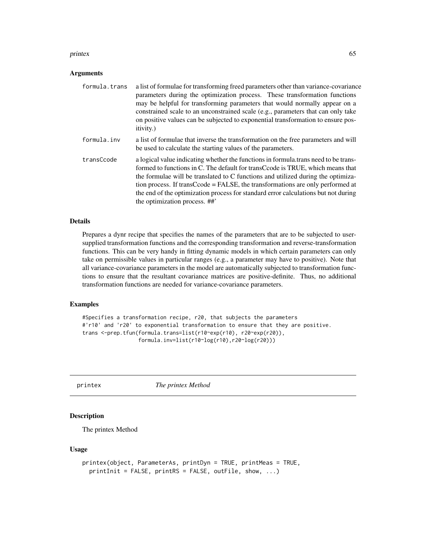#### printex 65

#### **Arguments**

| formula.trans | a list of formulae for transforming freed parameters other than variance-covariance<br>parameters during the optimization process. These transformation functions<br>may be helpful for transforming parameters that would normally appear on a<br>constrained scale to an unconstrained scale (e.g., parameters that can only take<br>on positive values can be subjected to exponential transformation to ensure pos-<br><i>itivity.)</i>                        |
|---------------|--------------------------------------------------------------------------------------------------------------------------------------------------------------------------------------------------------------------------------------------------------------------------------------------------------------------------------------------------------------------------------------------------------------------------------------------------------------------|
| formula.inv   | a list of formulae that inverse the transformation on the free parameters and will<br>be used to calculate the starting values of the parameters.                                                                                                                                                                                                                                                                                                                  |
| transCcode    | a logical value indicating whether the functions in formula trans need to be trans-<br>formed to functions in C. The default for transCcode is TRUE, which means that<br>the formulae will be translated to C functions and utilized during the optimiza-<br>tion process. If transCcode = FALSE, the transformations are only performed at<br>the end of the optimization process for standard error calculations but not during<br>the optimization process. ##' |

#### Details

Prepares a dynr recipe that specifies the names of the parameters that are to be subjected to usersupplied transformation functions and the corresponding transformation and reverse-transformation functions. This can be very handy in fitting dynamic models in which certain parameters can only take on permissible values in particular ranges (e.g., a parameter may have to positive). Note that all variance-covariance parameters in the model are automatically subjected to transformation functions to ensure that the resultant covariance matrices are positive-definite. Thus, no additional transformation functions are needed for variance-covariance parameters.

## Examples

```
#Specifies a transformation recipe, r20, that subjects the parameters
#'r10' and 'r20' to exponential transformation to ensure that they are positive.
trans <-prep.tfun(formula.trans=list(r10~exp(r10), r20~exp(r20)),
                  formula.inv=list(r10~log(r10),r20~log(r20)))
```
<span id="page-64-0"></span>printex *The printex Method*

## Description

The printex Method

## Usage

```
printex(object, ParameterAs, printDyn = TRUE, printMeas = TRUE,
  printInit = FALSE, printRS = FALSE, outFile, show, \ldots)
```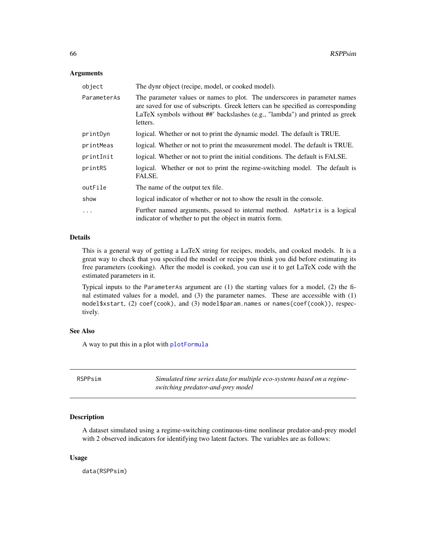## Arguments

| object      | The dynr object (recipe, model, or cooked model).                                                                                                                                                                                                        |  |  |  |
|-------------|----------------------------------------------------------------------------------------------------------------------------------------------------------------------------------------------------------------------------------------------------------|--|--|--|
| ParameterAs | The parameter values or names to plot. The underscores in parameter names<br>are saved for use of subscripts. Greek letters can be specified as corresponding<br>LaTeX symbols without ##' backslashes (e.g., "lambda") and printed as greek<br>letters. |  |  |  |
| printDyn    | logical. Whether or not to print the dynamic model. The default is TRUE.                                                                                                                                                                                 |  |  |  |
| printMeas   | logical. Whether or not to print the measurement model. The default is TRUE.                                                                                                                                                                             |  |  |  |
| printInit   | logical. Whether or not to print the initial conditions. The default is FALSE.                                                                                                                                                                           |  |  |  |
| printRS     | logical. Whether or not to print the regime-switching model. The default is<br>FALSE.                                                                                                                                                                    |  |  |  |
| outFile     | The name of the output tex file.                                                                                                                                                                                                                         |  |  |  |
| show        | logical indicator of whether or not to show the result in the console.                                                                                                                                                                                   |  |  |  |
| $\cdots$    | Further named arguments, passed to internal method. As Matrix is a logical<br>indicator of whether to put the object in matrix form.                                                                                                                     |  |  |  |

# Details

This is a general way of getting a LaTeX string for recipes, models, and cooked models. It is a great way to check that you specified the model or recipe you think you did before estimating its free parameters (cooking). After the model is cooked, you can use it to get LaTeX code with the estimated parameters in it.

Typical inputs to the ParameterAs argument are (1) the starting values for a model, (2) the final estimated values for a model, and (3) the parameter names. These are accessible with (1) model\$xstart, (2) coef(cook), and (3) model\$param.names or names(coef(cook)), respectively.

## See Also

A way to put this in a plot with [plotFormula](#page-47-0)

RSPPsim *Simulated time series data for multiple eco-systems based on a regimeswitching predator-and-prey model*

# Description

A dataset simulated using a regime-switching continuous-time nonlinear predator-and-prey model with 2 observed indicators for identifying two latent factors. The variables are as follows:

## Usage

data(RSPPsim)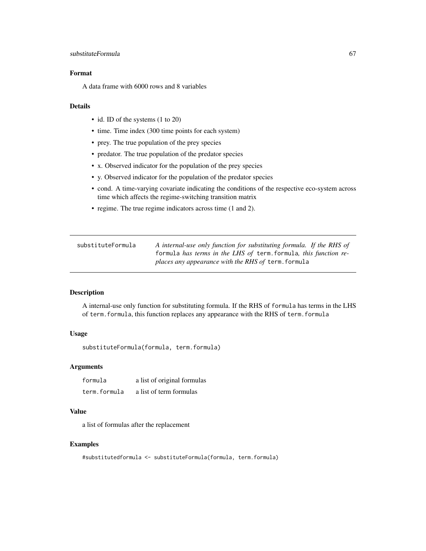## substituteFormula 67

# Format

A data frame with 6000 rows and 8 variables

#### Details

- id. ID of the systems  $(1 to 20)$
- time. Time index (300 time points for each system)
- prey. The true population of the prey species
- predator. The true population of the predator species
- x. Observed indicator for the population of the prey species
- y. Observed indicator for the population of the predator species
- cond. A time-varying covariate indicating the conditions of the respective eco-system across time which affects the regime-switching transition matrix
- regime. The true regime indicators across time (1 and 2).

| substituteFormula | A internal-use only function for substituting formula. If the RHS of |
|-------------------|----------------------------------------------------------------------|
|                   | formula has terms in the LHS of term. formula, this function re-     |
|                   | <i>places any appearance with the RHS of term. formula</i>           |

# Description

A internal-use only function for substituting formula. If the RHS of formula has terms in the LHS of term.formula, this function replaces any appearance with the RHS of term.formula

## Usage

substituteFormula(formula, term.formula)

## Arguments

| formula      | a list of original formulas |
|--------------|-----------------------------|
| term.formula | a list of term formulas     |

## Value

a list of formulas after the replacement

## Examples

#substitutedformula <- substituteFormula(formula, term.formula)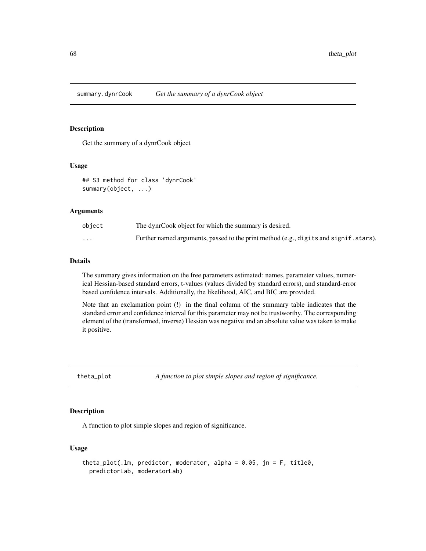## Description

Get the summary of a dynrCook object

#### Usage

```
## S3 method for class 'dynrCook'
summary(object, ...)
```
## Arguments

| object   | The dynrCook object for which the summary is desired.                                |
|----------|--------------------------------------------------------------------------------------|
| $\cdots$ | Further named arguments, passed to the print method (e.g., digits and signif.stars). |

## Details

The summary gives information on the free parameters estimated: names, parameter values, numerical Hessian-based standard errors, t-values (values divided by standard errors), and standard-error based confidence intervals. Additionally, the likelihood, AIC, and BIC are provided.

Note that an exclamation point (!) in the final column of the summary table indicates that the standard error and confidence interval for this parameter may not be trustworthy. The corresponding element of the (transformed, inverse) Hessian was negative and an absolute value was taken to make it positive.

theta\_plot *A function to plot simple slopes and region of significance.*

## Description

A function to plot simple slopes and region of significance.

## Usage

```
theta_plot(.lm, predictor, moderator, alpha = 0.05, jn = F, title0,
 predictorLab, moderatorLab)
```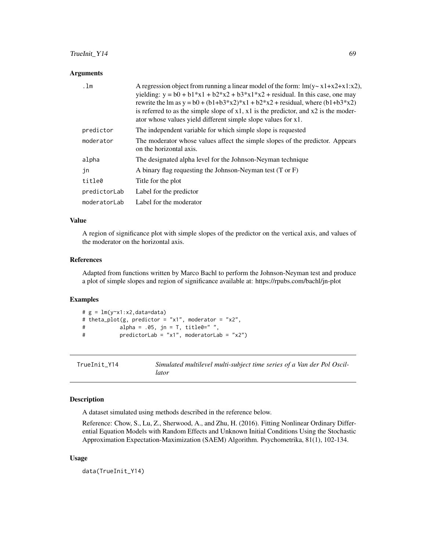# TrueInit\_Y14 69

## **Arguments**

| .1 <sub>m</sub> | A regression object from running a linear model of the form: $\text{Im}(y \sim x1 + x2 + x1 : x2)$ ,<br>yielding: $y = b0 + b1*x1 + b2*x2 + b3*x1*x2 + residual$ . In this case, one may<br>rewrite the lm as $y = b0 + (b1 + b3*x2)*x1 + b2*x2 + residual$ , where $(b1 + b3*x2)$<br>is referred to as the simple slope of $x1$ , $x1$ is the predictor, and $x2$ is the moder-<br>ator whose values yield different simple slope values for x1. |
|-----------------|---------------------------------------------------------------------------------------------------------------------------------------------------------------------------------------------------------------------------------------------------------------------------------------------------------------------------------------------------------------------------------------------------------------------------------------------------|
| predictor       | The independent variable for which simple slope is requested                                                                                                                                                                                                                                                                                                                                                                                      |
| moderator       | The moderator whose values affect the simple slopes of the predictor. Appears<br>on the horizontal axis.                                                                                                                                                                                                                                                                                                                                          |
| alpha           | The designated alpha level for the Johnson-Neyman technique                                                                                                                                                                                                                                                                                                                                                                                       |
| jn              | A binary flag requesting the Johnson-Neyman test $(T \text{ or } F)$                                                                                                                                                                                                                                                                                                                                                                              |
| title0          | Title for the plot                                                                                                                                                                                                                                                                                                                                                                                                                                |
| predictorLab    | Label for the predictor                                                                                                                                                                                                                                                                                                                                                                                                                           |
| moderatorLab    | Label for the moderator                                                                                                                                                                                                                                                                                                                                                                                                                           |

## Value

A region of significance plot with simple slopes of the predictor on the vertical axis, and values of the moderator on the horizontal axis.

### References

Adapted from functions written by Marco Bachl to perform the Johnson-Neyman test and produce a plot of simple slopes and region of significance available at: https://rpubs.com/bachl/jn-plot

## Examples

```
# g = lm(y~x1:x2, data=data)# theta_plot(g, predictor = "x1", moderator = "x2",
# alpha = .05, jn = T, title0=" ",
# predictorLab = "x1", moderatorLab = "x2")
```
TrueInit\_Y14 *Simulated multilevel multi-subject time series of a Van der Pol Oscillator*

#### Description

A dataset simulated using methods described in the reference below.

Reference: Chow, S., Lu, Z., Sherwood, A., and Zhu, H. (2016). Fitting Nonlinear Ordinary Differential Equation Models with Random Effects and Unknown Initial Conditions Using the Stochastic Approximation Expectation-Maximization (SAEM) Algorithm. Psychometrika, 81(1), 102-134.

## Usage

data(TrueInit\_Y14)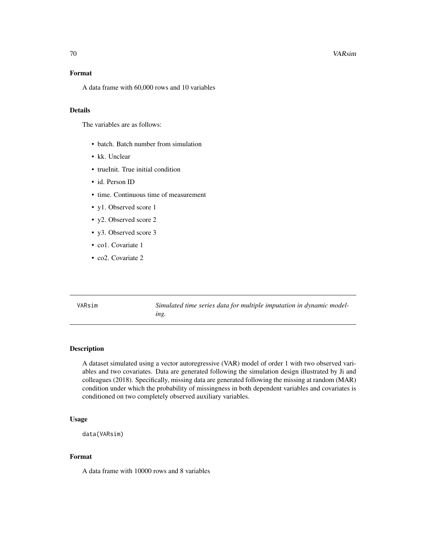#### 70 VARsim

## Format

A data frame with 60,000 rows and 10 variables

## Details

The variables are as follows:

- batch. Batch number from simulation
- kk. Unclear
- trueInit. True initial condition
- id. Person ID
- time. Continuous time of measurement
- y1. Observed score 1
- y2. Observed score 2
- y3. Observed score 3
- co1. Covariate 1
- co2. Covariate 2

VARsim *Simulated time series data for multiple imputation in dynamic modeling.*

## Description

A dataset simulated using a vector autoregressive (VAR) model of order 1 with two observed variables and two covariates. Data are generated following the simulation design illustrated by Ji and colleagues (2018). Specifically, missing data are generated following the missing at random (MAR) condition under which the probability of missingness in both dependent variables and covariates is conditioned on two completely observed auxiliary variables.

### Usage

```
data(VARsim)
```
# Format

A data frame with 10000 rows and 8 variables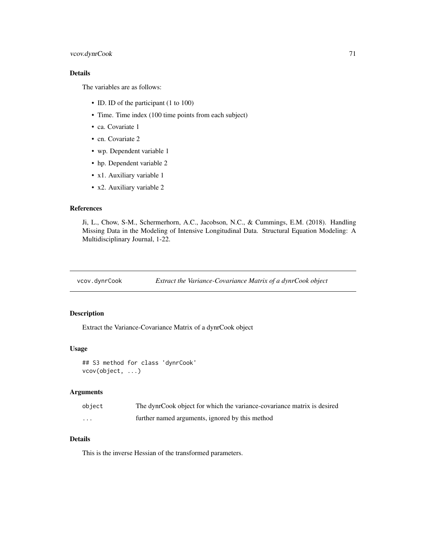# vcov.dynrCook 71

# Details

The variables are as follows:

- ID. ID of the participant (1 to 100)
- Time. Time index (100 time points from each subject)
- ca. Covariate 1
- cn. Covariate 2
- wp. Dependent variable 1
- hp. Dependent variable 2
- x1. Auxiliary variable 1
- x2. Auxiliary variable 2

## References

Ji, L., Chow, S-M., Schermerhorn, A.C., Jacobson, N.C., & Cummings, E.M. (2018). Handling Missing Data in the Modeling of Intensive Longitudinal Data. Structural Equation Modeling: A Multidisciplinary Journal, 1-22.

vcov.dynrCook *Extract the Variance-Covariance Matrix of a dynrCook object*

# Description

Extract the Variance-Covariance Matrix of a dynrCook object

#### Usage

## S3 method for class 'dynrCook' vcov(object, ...)

## Arguments

| object | The dynrCook object for which the variance-covariance matrix is desired |
|--------|-------------------------------------------------------------------------|
| .      | further named arguments, ignored by this method                         |

## Details

This is the inverse Hessian of the transformed parameters.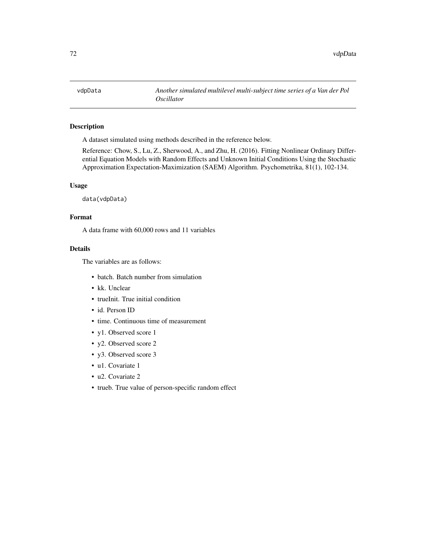# Description

A dataset simulated using methods described in the reference below.

Reference: Chow, S., Lu, Z., Sherwood, A., and Zhu, H. (2016). Fitting Nonlinear Ordinary Differential Equation Models with Random Effects and Unknown Initial Conditions Using the Stochastic Approximation Expectation-Maximization (SAEM) Algorithm. Psychometrika, 81(1), 102-134.

## Usage

data(vdpData)

## Format

A data frame with 60,000 rows and 11 variables

# Details

The variables are as follows:

- batch. Batch number from simulation
- kk. Unclear
- trueInit. True initial condition
- id. Person ID
- time. Continuous time of measurement
- y1. Observed score 1
- y2. Observed score 2
- y3. Observed score 3
- u1. Covariate 1
- u2. Covariate 2
- trueb. True value of person-specific random effect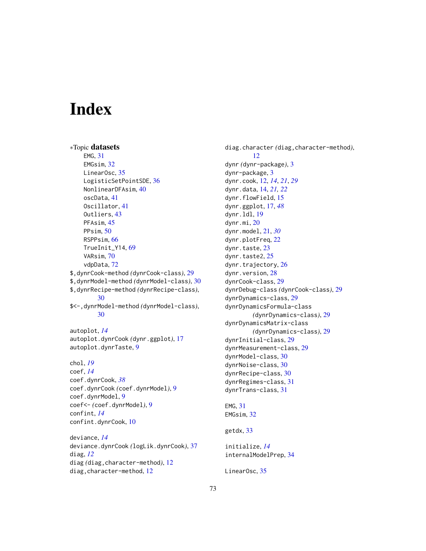## **Index**

∗Topic datasets EMG, [31](#page-30-0) EMGsim, [32](#page-31-0) LinearOsc, [35](#page-34-0) LogisticSetPointSDE, [36](#page-35-0) NonlinearDFAsim, [40](#page-39-0) oscData, [41](#page-40-0) Oscillator, [41](#page-40-0) Outliers, [43](#page-42-0) PFAsim, [45](#page-44-0) PPsim, [50](#page-49-0) RSPPsim, [66](#page-65-0) TrueInit\_Y14, [69](#page-68-0) VARsim, [70](#page-69-0) vdpData, [72](#page-71-0) \$,dynrCook-method *(*dynrCook-class*)*, [29](#page-28-0) \$,dynrModel-method *(*dynrModel-class*)*, [30](#page-29-0) \$,dynrRecipe-method *(*dynrRecipe-class*)*, [30](#page-29-0) \$<-,dynrModel-method *(*dynrModel-class*)*, [30](#page-29-0) autoplot, *[14](#page-13-0)* autoplot.dynrCook *(*dynr.ggplot*)*, [17](#page-16-0) autoplot.dynrTaste, [9](#page-8-0) chol, *[19](#page-18-0)* coef, *[14](#page-13-0)* coef.dynrCook, *[38](#page-37-0)* coef.dynrCook *(*coef.dynrModel*)*, [9](#page-8-0) coef.dynrModel, [9](#page-8-0) coef<- *(*coef.dynrModel*)*, [9](#page-8-0) confint, *[14](#page-13-0)* confint.dynrCook, [10](#page-9-0) deviance, *[14](#page-13-0)* deviance.dynrCook *(*logLik.dynrCook*)*, [37](#page-36-0) diag, *[12](#page-11-0)* diag *(*diag,character-method*)*, [12](#page-11-0)

diag,character-method, [12](#page-11-0)

diag.character *(*diag,character-method*)*, [12](#page-11-0) dynr *(*dynr-package*)*, [3](#page-2-0) dynr-package, [3](#page-2-0) dynr.cook, [12,](#page-11-0) *[14](#page-13-0)*, *[21](#page-20-0)*, *[29](#page-28-0)* dynr.data, [14,](#page-13-0) *[21,](#page-20-0) [22](#page-21-0)* dynr.flowField, [15](#page-14-0) dynr.ggplot, [17,](#page-16-0) *[48](#page-47-0)* dynr.ldl, [19](#page-18-0) dynr.mi, [20](#page-19-0) dynr.model, [21,](#page-20-0) *[30](#page-29-0)* dynr.plotFreq, [22](#page-21-0) dynr.taste, [23](#page-22-0) dynr.taste2, [25](#page-24-0) dynr.trajectory, [26](#page-25-0) dynr.version, [28](#page-27-0) dynrCook-class, [29](#page-28-0) dynrDebug-class *(*dynrCook-class*)*, [29](#page-28-0) dynrDynamics-class, [29](#page-28-0) dynrDynamicsFormula-class *(*dynrDynamics-class*)*, [29](#page-28-0) dynrDynamicsMatrix-class *(*dynrDynamics-class*)*, [29](#page-28-0) dynrInitial-class, [29](#page-28-0) dynrMeasurement-class, [29](#page-28-0) dynrModel-class, [30](#page-29-0) dynrNoise-class, [30](#page-29-0) dynrRecipe-class, [30](#page-29-0) dynrRegimes-class, [31](#page-30-0) dynrTrans-class, [31](#page-30-0)

```
EMG, 31
EMGsim, 32
```
getdx, [33](#page-32-0)

initialize, *[14](#page-13-0)* internalModelPrep, [34](#page-33-0)

LinearOsc, [35](#page-34-0)